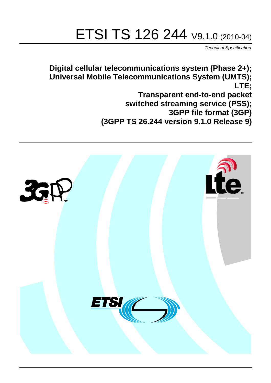# ETSI TS 126 244 V9.1.0 (2010-04)

*Technical Specification*

**Digital cellular telecommunications system (Phase 2+); Universal Mobile Telecommunications System (UMTS); LTE; Transparent end-to-end packet switched streaming service (PSS); 3GPP file format (3GP) (3GPP TS 26.244 version 9.1.0 Release 9)**

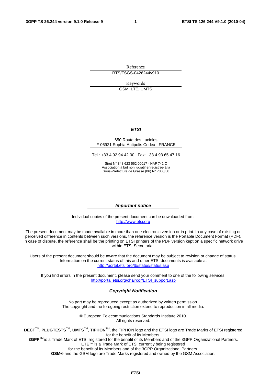Reference RTS/TSGS-0426244v910

Keywords

GSM, LTE, UMTS

#### *ETSI*

#### 650 Route des Lucioles F-06921 Sophia Antipolis Cedex - FRANCE

Tel.: +33 4 92 94 42 00 Fax: +33 4 93 65 47 16

Siret N° 348 623 562 00017 - NAF 742 C Association à but non lucratif enregistrée à la Sous-Préfecture de Grasse (06) N° 7803/88

#### *Important notice*

Individual copies of the present document can be downloaded from: [http://www.etsi.org](http://www.etsi.org/)

The present document may be made available in more than one electronic version or in print. In any case of existing or perceived difference in contents between such versions, the reference version is the Portable Document Format (PDF). In case of dispute, the reference shall be the printing on ETSI printers of the PDF version kept on a specific network drive within ETSI Secretariat.

Users of the present document should be aware that the document may be subject to revision or change of status. Information on the current status of this and other ETSI documents is available at <http://portal.etsi.org/tb/status/status.asp>

If you find errors in the present document, please send your comment to one of the following services: [http://portal.etsi.org/chaircor/ETSI\\_support.asp](http://portal.etsi.org/chaircor/ETSI_support.asp)

#### *Copyright Notification*

No part may be reproduced except as authorized by written permission. The copyright and the foregoing restriction extend to reproduction in all media.

> © European Telecommunications Standards Institute 2010. All rights reserved.

**DECT**TM, **PLUGTESTS**TM, **UMTS**TM, **TIPHON**TM, the TIPHON logo and the ETSI logo are Trade Marks of ETSI registered for the benefit of its Members.

**3GPP**TM is a Trade Mark of ETSI registered for the benefit of its Members and of the 3GPP Organizational Partners. **LTE**™ is a Trade Mark of ETSI currently being registered

for the benefit of its Members and of the 3GPP Organizational Partners.

**GSM**® and the GSM logo are Trade Marks registered and owned by the GSM Association.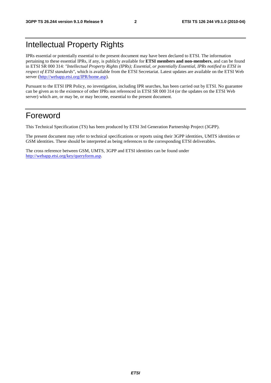## Intellectual Property Rights

IPRs essential or potentially essential to the present document may have been declared to ETSI. The information pertaining to these essential IPRs, if any, is publicly available for **ETSI members and non-members**, and can be found in ETSI SR 000 314: *"Intellectual Property Rights (IPRs); Essential, or potentially Essential, IPRs notified to ETSI in respect of ETSI standards"*, which is available from the ETSI Secretariat. Latest updates are available on the ETSI Web server [\(http://webapp.etsi.org/IPR/home.asp\)](http://webapp.etsi.org/IPR/home.asp).

Pursuant to the ETSI IPR Policy, no investigation, including IPR searches, has been carried out by ETSI. No guarantee can be given as to the existence of other IPRs not referenced in ETSI SR 000 314 (or the updates on the ETSI Web server) which are, or may be, or may become, essential to the present document.

## Foreword

This Technical Specification (TS) has been produced by ETSI 3rd Generation Partnership Project (3GPP).

The present document may refer to technical specifications or reports using their 3GPP identities, UMTS identities or GSM identities. These should be interpreted as being references to the corresponding ETSI deliverables.

The cross reference between GSM, UMTS, 3GPP and ETSI identities can be found under [http://webapp.etsi.org/key/queryform.asp.](http://webapp.etsi.org/key/queryform.asp)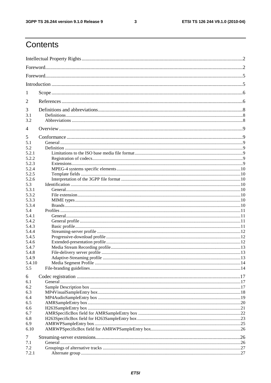#### $\mathbf{3}$

## Contents

| 1              |  |
|----------------|--|
| 2              |  |
| 3              |  |
| 3.1<br>3.2     |  |
| $\overline{4}$ |  |
| 5              |  |
| 5.1            |  |
| 5.2            |  |
| 5.2.1          |  |
| 5.2.2          |  |
| 5.2.3          |  |
| 5.2.4          |  |
| 5.2.5          |  |
| 5.2.6          |  |
| 5.3            |  |
| 5.3.1          |  |
| 5.3.2          |  |
| 5.3.3          |  |
| 5.3.4          |  |
| 5.4            |  |
| 5.4.1          |  |
| 5.4.2          |  |
| 5.4.3          |  |
| 5.4.4          |  |
| 5.4.5          |  |
| 5.4.6          |  |
| 5.4.7          |  |
| 5.4.8          |  |
| 5.4.9          |  |
| 5.4.10         |  |
| 5.5            |  |
| 6              |  |
| 6.1            |  |
| 6.2            |  |
| 6.3            |  |
| 6.4            |  |
| 6.5            |  |
| 6.6            |  |
| 6.7            |  |
| 6.8            |  |
| 6.9            |  |
| 6.10           |  |
| 7              |  |
| 7.1            |  |
| 7.2            |  |
| 7.2.1          |  |
|                |  |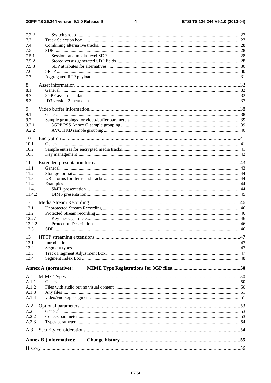#### $\overline{\mathbf{4}}$

| A.1<br>A.1.1<br>A.1.2 | <b>Annex A (normative):</b> |  |
|-----------------------|-----------------------------|--|
|                       |                             |  |
|                       |                             |  |
|                       |                             |  |
|                       |                             |  |
| 13.4                  |                             |  |
| 13.3                  |                             |  |
| 13.2                  |                             |  |
| 13.1                  |                             |  |
| 13                    |                             |  |
| 12.3                  |                             |  |
| 12.2.2                |                             |  |
| 12.2<br>12.2.1        |                             |  |
| 12.1                  |                             |  |
| 12                    |                             |  |
|                       |                             |  |
| 11.4.1<br>11.4.2      |                             |  |
| 11.4                  |                             |  |
| 11.3                  |                             |  |
| 11.2                  |                             |  |
| 11.1                  |                             |  |
| 11                    |                             |  |
| 10.3                  |                             |  |
| 10.2                  |                             |  |
| 10.1                  |                             |  |
| 10                    |                             |  |
| 9.2.2                 |                             |  |
| 9.2.1                 |                             |  |
| 9.2                   |                             |  |
| 9.1                   |                             |  |
| 9                     |                             |  |
| 8.3                   |                             |  |
| 8.2                   |                             |  |
| 8.1                   |                             |  |
| 8                     |                             |  |
| 7.7                   |                             |  |
| 7.6                   |                             |  |
| 7.5.3                 |                             |  |
| 7.5.2                 |                             |  |
| 7.5.1                 |                             |  |
| 7.4<br>7.5            |                             |  |
| 7.3                   |                             |  |
|                       |                             |  |
| 7.2.2                 |                             |  |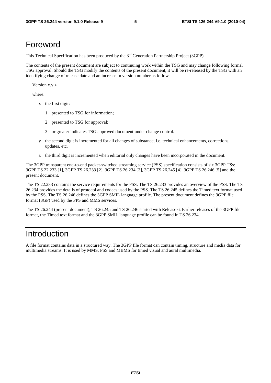## Foreword

This Technical Specification has been produced by the 3<sup>rd</sup> Generation Partnership Project (3GPP).

The contents of the present document are subject to continuing work within the TSG and may change following formal TSG approval. Should the TSG modify the contents of the present document, it will be re-released by the TSG with an identifying change of release date and an increase in version number as follows:

Version x.y.z

where:

- x the first digit:
	- 1 presented to TSG for information;
	- 2 presented to TSG for approval;
	- 3 or greater indicates TSG approved document under change control.
- y the second digit is incremented for all changes of substance, i.e. technical enhancements, corrections, updates, etc.
- z the third digit is incremented when editorial only changes have been incorporated in the document.

The 3GPP transparent end-to-end packet-switched streaming service (PSS) specification consists of six 3GPP TSs: 3GPP TS 22.233 [1], 3GPP TS 26.233 [2], 3GPP TS 26.234 [3], 3GPP TS 26.245 [4], 3GPP TS 26.246 [5] and the present document.

The TS 22.233 contains the service requirements for the PSS. The TS 26.233 provides an overview of the PSS. The TS 26.234 provides the details of protocol and codecs used by the PSS. The TS 26.245 defines the Timed text format used by the PSS. The TS 26.246 defines the 3GPP SMIL language profile. The present document defines the 3GPP file format (3GP) used by the PPS and MMS services.

The TS 26.244 (present document), TS 26.245 and TS 26.246 started with Release 6. Earlier releases of the 3GPP file format, the Timed text format and the 3GPP SMIL language profile can be found in TS 26.234.

## Introduction

A file format contains data in a structured way. The 3GPP file format can contain timing, structure and media data for multimedia streams. It is used by MMS, PSS and MBMS for timed visual and aural multimedia.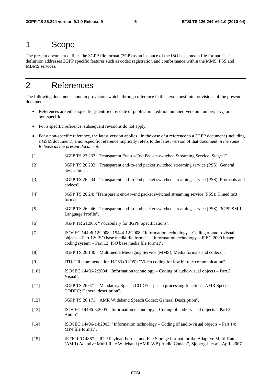## 1 Scope

The present document defines the 3GPP file format (3GP) as an instance of the ISO base media file format. The definition addresses 3GPP specific features such as codec registration and conformance within the MMS, PSS and MBMS services.

## 2 References

The following documents contain provisions which, through reference in this text, constitute provisions of the present document.

- References are either specific (identified by date of publication, edition number, version number, etc.) or non-specific.
- For a specific reference, subsequent revisions do not apply.
- For a non-specific reference, the latest version applies. In the case of a reference to a 3GPP document (including a GSM document), a non-specific reference implicitly refers to the latest version of that document *in the same Release as the present document*.
- [1] 3GPP TS 22.233: "Transparent End-to-End Packet-switched Streaming Service; Stage 1".
- [2] 3GPP TS 26.233: "Transparent end-to-end packet switched streaming service (PSS); General description".
- [3] 3GPP TS 26.234: "Transparent end-to-end packet switched streaming service (PSS); Protocols and codecs".
- [4] 3GPP TS 26.24: "Transparent end-to-end packet switched streaming service (PSS); Timed text format".
- [5] 3GPP TS 26.246: "Transparent end-to-end packet switched streaming service (PSS); 3GPP SMIL Language Profile".
- [6] 3GPP TR 21.905: "Vocabulary for 3GPP Specifications".
- [7] ISO/IEC 14496-12:2008 | 15444-12:2008: "Information technology Coding of audio-visual objects – Part 12: ISO base media file format" | "Information technology – JPEG 2000 image coding system – Part 12: ISO base media file format".
- [8] 3GPP TS 26.140: "Multimedia Messaging Service (MMS); Media formats and codecs".
- [9] ITU-T Recommendation H.263 (01/05): "Video coding for low bit rate communication".
- [10] ISO/IEC 14496-2:2004: "Information technology Coding of audio-visual objects Part 2: Visual".
- [11] 3GPP TS 26.071: "Mandatory Speech CODEC speech processing functions; AMR Speech CODEC; General description".
- [12] 3GPP TS 26.171: "AMR Wideband Speech Codec; General Description".
- [13] ISO/IEC 14496-3:2005: "Information technology Coding of audio-visual objects Part 3: Audio".
- [14] ISO/IEC 14496-14:2003: "Information technology Coding of audio-visual objects Part 14: MP4 file format".
- [15] IETF RFC 4867: " RTP Payload Format and File Storage Format for the Adaptive Multi-Rate (AMR) Adaptive Multi-Rate Wideband (AMR-WB) Audio Codecs", Sjoberg J. et al., April 2007.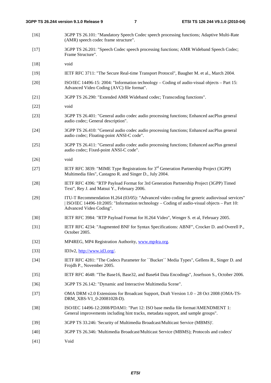- [16] 3GPP TS 26.101: "Mandatory Speech Codec speech processing functions; Adaptive Multi-Rate (AMR) speech codec frame structure".
- [17] 3GPP TS 26.201: "Speech Codec speech processing functions; AMR Wideband Speech Codec; Frame Structure".
- [18] void
- [19] IETF RFC 3711: "The Secure Real-time Transport Protocol", Baugher M. et al., March 2004.
- [20] ISO/IEC 14496-15: 2004: "Information technology Coding of audio-visual objects Part 15: Advanced Video Coding (AVC) file format".
- [21] 3GPP TS 26.290: "Extended AMR Wideband codec; Transcoding functions".
- [22] void
- [23] 3GPP TS 26.401: "General audio codec audio processing functions; Enhanced aacPlus general audio codec; General description".
- [24] 3GPP TS 26.410: "General audio codec audio processing functions; Enhanced aacPlus general audio codec; Floating-point ANSI-C code".
- [25] 3GPP TS 26.411: "General audio codec audio processing functions; Enhanced aacPlus general audio codec; Fixed-point ANSI-C code".
- [26] void
- [27] IETF RFC 3839: "MIME Type Registrations for 3rd Generation Partnership Project (3GPP) Multimedia files", Castagno R. and Singer D., July 2004.
- [28] IETF RFC 4396: "RTP Payload Format for 3rd Generation Partnership Project (3GPP) Timed Text", Rey J. and Matsui Y., February 2006.
- [29] ITU-T Recommendation H.264 (03/05): "Advanced video coding for generic audiovisual services" | ISO/IEC 14496-10:2005: "Information technology – Coding of audio-visual objects – Part 10: Advanced Video Coding".
- [30] IETF RFC 3984: "RTP Payload Format for H.264 Video", Wenger S. et al, February 2005.
- [31] IETF RFC 4234: "Augmented BNF for Syntax Specifications: ABNF", Crocker D. and Overell P., October 2005.
- [32] MP4REG, MP4 Registration Authority, [www.mp4ra.org.](http://www.mp4ra.org/)
- [33] ID3v2, [http://www.id3.org/.](http://www.id3.org/)
- [34] IETF RFC 4281: "The Codecs Parameter for ``Bucket´´ Media Types", Gellens R., Singer D. and Frojdh P., November 2005.
- [35] IETF RFC 4648: "The Base16, Base32, and Base64 Data Encodings", Josefsson S., October 2006.
- [36] 3GPP TS 26.142: "Dynamic and Interactive Multimedia Scene".
- [37] OMA DRM v2.0 Extensions for Broadcast Support, Draft Version 1.0 28 Oct 2008 (OMA-TS-DRM\_XBS-V1\_0-20081028-D).
- [38] ISO/IEC 14496-12:2008/PDAM1: "Part 12: ISO base media file format/AMENDMENT 1: General improvements including hint tracks, metadata support, and sample groups".
- [39] 3GPP TS 33.246: 'Security of Multimedia Broadcast/Multicast Service (MBMS)'.
- [40] 3GPP TS 26.346: 'Multimedia Broadcast/Multicast Service (MBMS); Protocols and codecs'
- [41] Void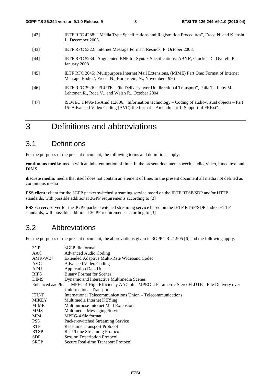- [42] IETF RFC 4288: " Media Type Specifications and Registration Procedures", Freed N. and Klensin J., December 2005.
- [43] IETF RFC 5322: 'Internet Message Format', Resnick, P. October 2008.
- [44] IETF RFC 5234: 'Augmented BNF for Syntax Specifications: ABNF', Crocker D., Overell, P., January 2008
- [45] IETF RFC 2045: 'Multipurpose Internet Mail Extensions, (MIME) Part One: Format of Internet Message Bodies', Freed, N., Borenstein, N., November 1996
- [46] IETF RFC 3926: "FLUTE File Delivery over Unidirectional Transport", Paila T., Luby M., Lehtonen R., Roca V., and Walsh R., October 2004.
- [47] ISO/IEC 14496-15/Amd 1:2006: "Information technology Coding of audio-visual objects Part 15: Advanced Video Coding (AVC) file format – Amendment 1: Support of FRExt".

## 3 Definitions and abbreviations

### 3.1 Definitions

For the purposes of the present document, the following terms and definitions apply:

**continuous media:** media with an inherent notion of time. In the present document speech, audio, video, timed text and DIMS

**discrete media:** media that itself does not contain an element of time. In the present document all media not defined as continuous media

**PSS client:** client for the 3GPP packet switched streaming service based on the IETF RTSP/SDP and/or HTTP standards, with possible additional 3GPP requirements according to [3]

**PSS server:** server for the 3GPP packet switched streaming service based on the IETF RTSP/SDP and/or HTTP standards, with possible additional 3GPP requirements according to [3]

### 3.2 Abbreviations

For the purposes of the present document, the abbreviations given in 3GPP TR 21.905 [6] and the following apply.

| 3GP              | 3GPP file format                                                                 |
|------------------|----------------------------------------------------------------------------------|
| AAC              | Advanced Audio Coding                                                            |
| $AMR-WB+$        | Extended Adaptive Multi-Rate Wideband Codec                                      |
| <b>AVC</b>       | <b>Advanced Video Coding</b>                                                     |
| ADU              | <b>Application Data Unit</b>                                                     |
| <b>BIFS</b>      | <b>Binary Format for Scenes</b>                                                  |
| <b>DIMS</b>      | Dynamic and Interactive Multimedia Scenes                                        |
| Enhanced aacPlus | MPEG-4 High Efficiency AAC plus MPEG-4 Parametric StereoFLUTE File Delivery over |
|                  | Unidirectional Transport                                                         |
| ITU-T            | International Telecommunications Union – Telecommunications                      |
| <b>MIKEY</b>     | Multimedia Internet KEYing                                                       |
| <b>MIME</b>      | Multipurpose Internet Mail Extensions                                            |
| <b>MMS</b>       | Multimedia Messaging Service                                                     |
| MP4              | MPEG-4 file format                                                               |
| <b>PSS</b>       | Packet-switched Streaming Service                                                |
| <b>RTP</b>       | Real-time Transport Protocol                                                     |
| <b>RTSP</b>      | Real-Time Streaming Protocol                                                     |
| <b>SDP</b>       | <b>Session Description Protocol</b>                                              |
| <b>SRTP</b>      | Secure Real-time Transport Protocol                                              |
|                  |                                                                                  |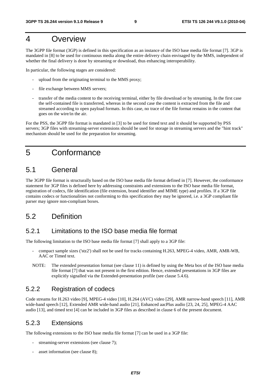## 4 Overview

The 3GPP file format (3GP) is defined in this specification as an instance of the ISO base media file format [7]. 3GP is mandated in [8] to be used for continuous media along the entire delivery chain envisaged by the MMS, independent of whether the final delivery is done by streaming or download, thus enhancing interoperability.

In particular, the following stages are considered:

- upload from the originating terminal to the MMS proxy;
- file exchange between MMS servers;
- transfer of the media content to the receiving terminal, either by file download or by streaming. In the first case the self-contained file is transferred, whereas in the second case the content is extracted from the file and streamed according to open payload formats. In this case, no trace of the file format remains in the content that goes on the wire/in the air.

For the PSS, the 3GPP file format is mandated in [3] to be used for timed text and it should be supported by PSS servers; 3GP files with streaming-server extensions should be used for storage in streaming servers and the "hint track" mechanism should be used for the preparation for streaming.

## 5 Conformance

## 5.1 General

The 3GPP file format is structurally based on the ISO base media file format defined in [7]. However, the conformance statement for 3GP files is defined here by addressing constraints and extensions to the ISO base media file format, registration of codecs, file identification (file extension, brand identifier and MIME type) and profiles. If a 3GP file contains codecs or functionalities not conforming to this specification they may be ignored, i.e. a 3GP compliant file parser may ignore non-compliant boxes.

## 5.2 Definition

### 5.2.1 Limitations to the ISO base media file format

The following limitation to the ISO base media file format [7] shall apply to a 3GP file:

- compact sample sizes ('stz2') shall not be used for tracks containing H.263, MPEG-4 video, AMR, AMR-WB, AAC or Timed text.
- NOTE: The extended presentation format (see clause 11) is defined by using the Meta box of the ISO base media file format [7] that was not present in the first edition. Hence, extended presentations in 3GP files are explicitly signalled via the Extended-presentation profile (see clause 5.4.6).

### 5.2.2 Registration of codecs

Code streams for H.263 video [9], MPEG-4 video [10], H.264 (AVC) video [29], AMR narrow-band speech [11], AMR wide-band speech [12], Extended AMR wide-band audio [21], Enhanced aacPlus audio [23, 24, 25], MPEG-4 AAC audio [13], and timed text [4] can be included in 3GP files as described in clause 6 of the present document.

### 5.2.3 Extensions

The following extensions to the ISO base media file format [7] can be used in a 3GP file:

- streaming-server extensions (see clause 7);
- asset information (see clause 8);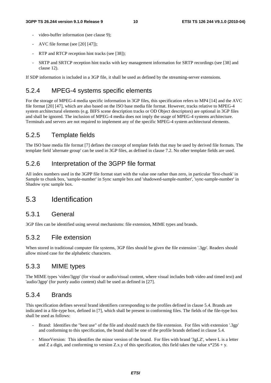- video-buffer information (see clause 9);
- AVC file format (see [20] [47]);
- RTP and RTCP reception hint tracks (see [38]);
- SRTP and SRTCP reception hint tracks with key management information for SRTP recordings (see [38] and clause 12).

If SDP information is included in a 3GP file, it shall be used as defined by the streaming-server extensions.

### 5.2.4 MPEG-4 systems specific elements

For the storage of MPEG-4 media specific information in 3GP files, this specification refers to MP4 [14] and the AVC file format [20] [47], which are also based on the ISO base media file format. However, tracks relative to MPEG-4 system architectural elements (e.g. BIFS scene description tracks or OD Object descriptors) are optional in 3GP files and shall be ignored. The inclusion of MPEG-4 media does not imply the usage of MPEG-4 systems architecture. Terminals and servers are not required to implement any of the specific MPEG-4 system architectural elements.

### 5.2.5 Template fields

The ISO base media file format [7] defines the concept of template fields that may be used by derived file formats. The template field 'alternate group' can be used in 3GP files, as defined in clause 7.2. No other template fields are used.

### 5.2.6 Interpretation of the 3GPP file format

All index numbers used in the 3GPP file format start with the value one rather than zero, in particular 'first-chunk' in Sample to chunk box, 'sample-number' in Sync sample box and 'shadowed-sample-number', 'sync-sample-number' in Shadow sync sample box.

### 5.3 Identification

#### 5.3.1 General

3GP files can be identified using several mechanisms: file extension, MIME types and brands.

### 5.3.2 File extension

When stored in traditional computer file systems, 3GP files should be given the file extension '.3gp'. Readers should allow mixed case for the alphabetic characters.

### 5.3.3 MIME types

The MIME types 'video/3gpp' (for visual or audio/visual content, where visual includes both video and timed text) and 'audio/3gpp' (for purely audio content) shall be used as defined in [27].

#### 5.3.4 Brands

This specification defines several brand identifiers corresponding to the profiles defined in clause 5.4. Brands are indicated in a file-type box, defined in [7], which shall be present in conforming files. The fields of the file-type box shall be used as follows:

- Brand: Identifies the "best use" of the file and should match the file extension. For files with extension '.3gp' and conforming to this specification, the brand shall be one of the profile brands defined in clause 5.4.
- MinorVersion: This identifies the minor version of the brand. For files with brand '3gLZ', where L is a letter and Z a digit, and conforming to version Z.x.y of this specification, this field takes the value  $x*256 + y$ .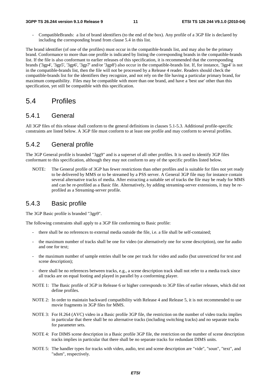- CompatibleBrands: a list of brand identifiers (to the end of the box). Any profile of a 3GP file is declared by including the corresponding brand from clause 5.4 in this list.

The brand identifier (of one of the profiles) must occur in the compatible-brands list, and may also be the primary brand. Conformance to more than one profile is indicated by listing the corresponding brands in the compatible-brands list. If the file is also conformant to earlier releases of this specification, it is recommended that the corresponding brands ('3gp4', '3gp5', '3gp6', '3gp7' and/or '3gp8') also occur in the compatible-brands list. If, for instance, '3gp4' is not in the compatible-brands list, then the file will not be processed by a Release 4 reader. Readers should check the compatible-brands list for the identifiers they recognize, and not rely on the file having a particular primary brand, for maximum compatibility. Files may be compatible with more than one brand, and have a 'best use' other than this specification, yet still be compatible with this specification.

### 5.4 Profiles

#### 5.4.1 General

All 3GP files of this release shall conform to the general definitions in clauses 5.1-5.3. Additional profile-specific constraints are listed below. A 3GP file must conform to at least one profile and may conform to several profiles.

#### 5.4.2 General profile

The 3GP General profile is branded "3gg9" and is a superset of all other profiles. It is used to identify 3GP files conformant to this specification, although they may not conform to any of the specific profiles listed below.

NOTE: The General profile of 3GP has fewer restrictions than other profiles and is suitable for files not yet ready to be delivered by MMS or to be streamed by a PSS server. A General 3GP file may for instance contain several alternative tracks of media. After extracting a suitable set of tracks the file may be ready for MMS and can be re-profiled as a Basic file. Alternatively, by adding streaming-server extensions, it may be reprofiled as a Streaming-server profile.

### 5.4.3 Basic profile

The 3GP Basic profile is branded "3gp9".

The following constraints shall apply to a 3GP file conforming to Basic profile:

- there shall be no references to external media outside the file, i.e. a file shall be self-contained;
- the maximum number of tracks shall be one for video (or alternatively one for scene description), one for audio and one for text;
- the maximum number of sample entries shall be one per track for video and audio (but unrestricted for text and scene description);
- there shall be no references between tracks, e.g., a scene description track shall not refer to a media track since all tracks are on equal footing and played in parallel by a conforming player.
- NOTE 1: The Basic profile of 3GP in Release 6 or higher corresponds to 3GP files of earlier releases, which did not define profiles.
- NOTE 2: In order to maintain backward compatibility with Release 4 and Release 5, it is not recommended to use movie fragments in 3GP files for MMS.
- NOTE 3: For H.264 (AVC) video in a Basic profile 3GP file, the restriction on the number of video tracks implies in particular that there shall be no alternative tracks (including switching tracks) and no separate tracks for parameter sets.
- NOTE 4: For DIMS scene description in a Basic profile 3GP file, the restriction on the number of scene description tracks implies in particular that there shall be no separate tracks for redundant DIMS units.
- NOTE 5: The handler types for tracks with video, audio, text and scene description are "vide", "soun", "text", and "sdsm", respectively.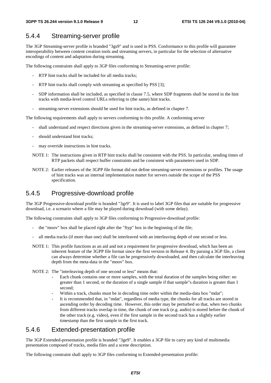### 5.4.4 Streaming-server profile

The 3GP Streaming-server profile is branded "3gs9" and is used in PSS. Conformance to this profile will guarantee interoperability between content creation tools and streaming servers, in particular for the selection of alternative encodings of content and adaptation during streaming.

The following constraints shall apply to 3GP files conforming to Streaming-server profile:

- RTP hint tracks shall be included for all media tracks:
- RTP hint tracks shall comply with streaming as specified by PSS [3];
- SDP information shall be included, as specified in clause 7.5, where SDP fragments shall be stored in the hint tracks with media-level control URLs referring to (the same) hint tracks.
- streaming-server extensions should be used for hint tracks, as defined in chapter 7.

The following requirements shall apply to servers conforming to this profile. A conforming server

- shall understand and respect directions given in the streaming-server extensions, as defined in chapter 7;
- should understand hint tracks;
- may override instructions in hint tracks.
- NOTE 1: The instructions given in RTP hint tracks shall be consistent with the PSS. In particular, sending times of RTP packets shall respect buffer constraints and be consistent with parameters used in SDP.
- NOTE 2: Earlier releases of the 3GPP file format did not define streaming-server extensions or profiles. The usage of hint tracks was an internal implementation matter for servers outside the scope of the PSS specification.

### 5.4.5 Progressive-download profile

The 3GP Progressive-download profile is branded "3gr9". It is used to label 3GP files that are suitable for progressive download, i.e. a scenario where a file may be played during download (with some delay).

The following constraints shall apply to 3GP files conforming to Progressive-download profile:

- the "moov" box shall be placed right after the "ftyp" box in the beginning of the file;
- all media tracks (if more than one) shall be interleaved with an interleaving depth of one second or less.
- NOTE 1: This profile functions as an aid and not a requirement for progressive download, which has been an inherent feature of the 3GPP file format since the first version in Release 4. By parsing a 3GP file, a client can always determine whether a file can be progressively downloaded, and then calculate the interleaving depth from the meta-data in the "moov" box.
- NOTE 2: The "interleaving depth of one second or less" means that:
	- Each chunk contains one or more samples, with the total duration of the samples being either: no greater than 1 second, or the duration of a single sample if that sample"s duration is greater than 1 second;
	- Within a track, chunks must be in decoding time order within the media-data box "mdat";
	- It is recommended that, in "mdat", regardless of media type, the chunks for all tracks are stored in ascending order by decoding time. However, this order may be perturbed so that, when two chunks from different tracks overlap in time, the chunk of one track (e.g. audio) is stored before the chunk of the other track (e.g. video), even if the first sample in the second track has a slightly earlier timestamp than the first sample in the first track.

### 5.4.6 Extended-presentation profile

The 3GP Extended-presentation profile is branded "3ge9". It enables a 3GP file to carry any kind of multimedia presentation composed of tracks, media files and a scene description.

The following constraint shall apply to 3GP files conforming to Extended-presentation profile: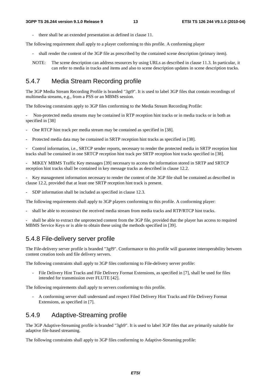- there shall be an extended presentation as defined in clause 11.

The following requirement shall apply to a player conforming to this profile. A conforming player

- shall render the content of the 3GP file as prescribed by the contained scene description (primary item).
- NOTE: The scene description can address resources by using URLs as described in clause 11.3. In particular, it can refer to media in tracks and items and also to scene description updates in scene description tracks.

### 5.4.7 Media Stream Recording profile

The 3GP Media Stream Recording Profile is branded "3gt9". It is used to label 3GP files that contain recordings of multimedia streams, e.g., from a PSS or an MBMS session.

The following constraints apply to 3GP files conforming to the Media Stream Recording Profile:

Non-protected media streams may be contained in RTP reception hint tracks or in media tracks or in both as specified in [38]

- One RTCP hint track per media stream may be contained as specified in [38].
- Protected media data may be contained in SRTP reception hint tracks as specified in [38].

- Control information, i.e., SRTCP sender reports, necessary to render the protected media in SRTP reception hint tracks shall be contained in one SRTCP reception hint track per SRTP reception hint tracks specified in [38].

- MIKEY MBMS Traffic Key messages [39] necessary to access the information stored in SRTP and SRTCP reception hint tracks shall be contained in key message tracks as described in clause 12.2.

- Key management information necessary to render the content of the 3GP file shall be contained as described in clause 12.2, provided that at least one SRTP reception hint track is present.

- SDP information shall be included as specified in clause 12.3.

The following requirements shall apply to 3GP players conforming to this profile. A conforming player:

- shall be able to reconstruct the received media stream from media tracks and RTP/RTCP hint tracks.

- shall be able to extract the unprotected content from the 3GP file, provided that the player has access to required MBMS Service Keys or is able to obtain these using the methods specified in [39].

#### 5.4.8 File-delivery server profile

The File-delivery server profile is branded "3gf9". Conformance to this profile will guarantee interoperability between content creation tools and file delivery servers.

The following constraints shall apply to 3GP files conforming to File-delivery server profile:

- File Delivery Hint Tracks and File Delivery Format Extensions, as specified in [7], shall be used for files intended for transmission over FLUTE [42].

The following requirements shall apply to servers conforming to this profile.

- A conforming server shall understand and respect Filed Delivery Hint Tracks and File Delivery Format Extensions, as specified in [7].

#### 5.4.9 Adaptive-Streaming profile

The 3GP Adaptive-Streaming profile is branded "3gh9". It is used to label 3GP files that are primarily suitable for adaptive file-based streaming.

The following constraints shall apply to 3GP files conforming to Adaptive-Streaming profile: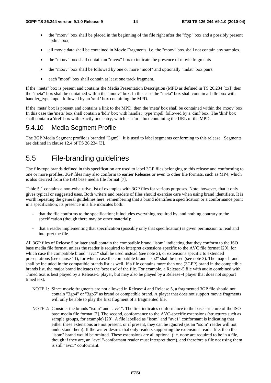- the "moov" box shall be placed in the beginning of the file right after the "ftyp" box and a possibly present "pdin" box;
- all movie data shall be contained in Movie Fragments, i.e. the "moov" box shall not contain any samples.
- the "moov" box shall contain an "mvex" box to indicate the presence of movie fragments
- the "moov" box shall be followed by one or more "moof" and optionally "mdat" box pairs.
- each "moof" box shall contain at least one track fragment.

If the "meta" box is present and contains the Media Presentation Description (MPD as defined in TS 26.234 [xx]) then the "meta" box shall be contained within the "moov" box. In this case the "meta" box shall contain a 'hdlr' box with handler\_type 'mpd ' followed by an 'xml ' box containing the MPD.

If the 'meta' box is present and contains a link to the MPD, then the 'meta' box shall be contained within the 'moov' box. In this case the 'meta' box shall contain a 'hdlr' box with handler type 'mpdl' followed by a 'dinf' box. The 'dinf' box shall contain a 'dref' box with exactly one entry, which is a 'url ' box containing the URL of the MPD.

### 5.4.10 Media Segment Profile

The 3GP Media Segment profile is branded "3gm9". It is used to label segments conforming to this release. Segments are defined in clause 12.4 of TS 26.234 [3].

## 5.5 File-branding guidelines

The file-type brands defined in this specification are used to label 3GP files belonging to this release and conforming to one or more profiles. 3GP files may also conform to earlier Releases or even to other file formats, such as MP4, which is also derived from the ISO base media file format [7].

Table 5.1 contains a non-exhaustive list of examples with 3GP files for various purposes. Note, however, that it only gives typical or suggested uses. Both writers and readers of files should exercise care when using brand identifiers. It is worth repeating the general guidelines here, remembering that a brand identifies a specification or a conformance point in a specification; its presence in a file indicates both:

- that the file conforms to the specification; it includes everything required by, and nothing contrary to the specification (though there may be other material);
- that a reader implementing that specification (possibly only that specification) is given permission to read and interpret the file.

All 3GP files of Release 5 or later shall contain the compatible brand "isom" indicating that they conform to the ISO base media file format, unless the reader is required to interpret extensions specific to the AVC file format [20], for which case the compatible brand "avc1" shall be used instead (see note 2), or extensions specific to extended presentations (see clause 11), for which case the compatible brand "iso2" shall be used (see note 3). The major brand shall be included in the compatible brands list as well. If a file contains more than one (3GPP) brand in the compatible brands list, the major brand indicates the 'best use' of the file. For example, a Release-5 file with audio combined with Timed text is best played by a Release-5 player, but may also be played by a Release-4 player that does not support timed text.

- NOTE 1: Since movie fragments are not allowed in Release 4 and Release 5, a fragmented 3GP file should not contain "3gp4" or "3gp5" as brand or compatible brand. A player that does not support movie fragments will only be able to play the first fragment of a fragmented file.
- NOTE 2: Consider the brands "isom" and "avc1". The first indicates conformance to the base structure of the ISO base media file format [7]. The second, conformance to the AVC-specific extensions (structures such as sample groups, for example) [20]. A file labelled as "isom" and "avc1" conformant is indicating that either these extensions are not present, or if present, they can be ignored (as an "isom" reader will not understand them). If the writer desires that only readers supporting the extensions read a file, then the "isom" brand would be omitted. These extensions are all optional (i.e. none are required to be in a file, though if they are, an "avc1"-conformant reader must interpret them), and therefore a file not using them is still "avc1" conformant.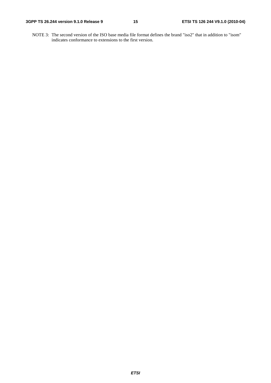NOTE 3: The second version of the ISO base media file format defines the brand "iso2" that in addition to "isom" indicates conformance to extensions to the first version.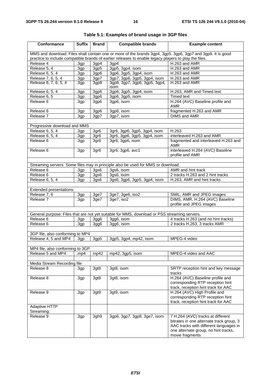| Conformance                                                                                           | <b>Suffix</b>    | <b>Brand</b>       | <b>Compatible brands</b>                                                                     | <b>Example content</b>                                                                                                                                                             |  |  |
|-------------------------------------------------------------------------------------------------------|------------------|--------------------|----------------------------------------------------------------------------------------------|------------------------------------------------------------------------------------------------------------------------------------------------------------------------------------|--|--|
|                                                                                                       |                  |                    |                                                                                              | MMS and download: Files shall contain one or more of the brands 3gp4, 3gp5, 3gp6, 3gp7 and 3gp8. It is good                                                                        |  |  |
| practice to include compatible brands of earlier releases to enable legacy players to play the files. |                  |                    |                                                                                              |                                                                                                                                                                                    |  |  |
| Release 4                                                                                             | 3gp              | 3gp4               | 3gp4                                                                                         | H.263 and AMR                                                                                                                                                                      |  |  |
| Release 5, 4                                                                                          | .3gp             | 3gp5               | 3gp5, 3gp4, isom                                                                             | H.263 and AMR                                                                                                                                                                      |  |  |
| Release 6, 5, 4                                                                                       | .3gp             | 3gp6               | 3gp6, 3gp5, 3gp4, isom                                                                       | H.263 and AMR                                                                                                                                                                      |  |  |
| Release 7, 6, 5, 4                                                                                    | .3gp             | 3gp7               | 3gp7, 3gp6, 3gp5, 3gp4, isom                                                                 | H.263 and AMR                                                                                                                                                                      |  |  |
| Release 8, 7, 6, 5, 4                                                                                 | .3 <sub>gp</sub> | 3gp8               | 3gp8, 3gp7, 3gp6, 3gp5, 3gp4,<br>isom                                                        | H.263 and AMR                                                                                                                                                                      |  |  |
| Release 6, 5, 4                                                                                       | .3gp             | 3gp6               | 3gp6, 3gp5, 3gp4, isom                                                                       | H.263, AMR and Timed text                                                                                                                                                          |  |  |
| Release 6, 5                                                                                          | .3gp             | 3gp6               | 3gp6, 3gp5, isom                                                                             | <b>Timed text</b>                                                                                                                                                                  |  |  |
| Release 6                                                                                             | .3 <sub>gp</sub> | 3gp6               | 3gp6, isom                                                                                   | H.264 (AVC) Baseline profile and<br>AMR                                                                                                                                            |  |  |
| Release 6                                                                                             | .3gp             | 3gp6               | 3gp6, isom                                                                                   | fragmented H.263 and AMR                                                                                                                                                           |  |  |
| Release 7                                                                                             | .3 <sub>gp</sub> | 3gp7               | 3gp7, isom                                                                                   | DIMS and AMR                                                                                                                                                                       |  |  |
|                                                                                                       |                  |                    |                                                                                              |                                                                                                                                                                                    |  |  |
| Progressive download and MMS                                                                          |                  |                    |                                                                                              |                                                                                                                                                                                    |  |  |
| Release 6, 5, 4                                                                                       | .3 <sub>gp</sub> | 3gr <sub>6</sub>   | 3gr6, 3gp6, 3gp5, 3gp4, isom                                                                 | H.263                                                                                                                                                                              |  |  |
| Release 6, 5, 4                                                                                       | .3gp             | 3gr <sub>6</sub>   | 3gr6, 3gp6, 3gp5, 3gp4, isom                                                                 | interleaved H.263 and AMR                                                                                                                                                          |  |  |
| Release 6                                                                                             | .3 <sub>gp</sub> | 3gr <sub>6</sub>   | 3gr6, 3gp6, isom                                                                             | fragmented and interleaved H.263 and<br>AMR                                                                                                                                        |  |  |
| Release 6                                                                                             | .3 <sub>gp</sub> | 3gr <sub>6</sub>   | 3gr6, 3gp6, avc1                                                                             | interleaved H.264 (AVC) Baseline<br>profile and AMR                                                                                                                                |  |  |
|                                                                                                       |                  |                    |                                                                                              |                                                                                                                                                                                    |  |  |
|                                                                                                       |                  |                    | Streaming servers: Some files may in principle also be used for MMS or download.             |                                                                                                                                                                                    |  |  |
| Release 6                                                                                             | .3gp             | $\overline{3}$ gs6 | 3gs6, isom                                                                                   | AMR and hint track                                                                                                                                                                 |  |  |
| Release 6                                                                                             | .3gp             | 3gs6               | 3gs6, isom                                                                                   | 2 tracks H.263 and 2 hint tracks                                                                                                                                                   |  |  |
| Release 6, 5, 4                                                                                       | .3 <sub>gp</sub> | 3gs6               | 3gs6, 3gp6, 3gp5, 3gp4, isom                                                                 | H.263, AMR and hint tracks                                                                                                                                                         |  |  |
|                                                                                                       |                  |                    |                                                                                              |                                                                                                                                                                                    |  |  |
| Extended presentations:                                                                               |                  |                    |                                                                                              |                                                                                                                                                                                    |  |  |
| Release 7, 6                                                                                          | .3 <sub>gp</sub> | 3ge7               | 3ge7, 3ge6, iso2                                                                             | SMIL, AMR and JPEG images                                                                                                                                                          |  |  |
| Release 7                                                                                             | .3 <sub>gp</sub> | 3ge7               | 3ge7, iso2                                                                                   | DIMS, AMR, H.264 (AVC) Baseline<br>profile and JPEG images                                                                                                                         |  |  |
|                                                                                                       |                  |                    |                                                                                              |                                                                                                                                                                                    |  |  |
|                                                                                                       |                  |                    | General purpose: Files that are not yet suitable for MMS, download or PSS streaming servers. |                                                                                                                                                                                    |  |  |
| Release 6                                                                                             | .3gp             | 3gg6               | 3gg6, isom                                                                                   | 4 tracks H.263 (and no hint tracks)                                                                                                                                                |  |  |
| Release 6                                                                                             | .3 <sub>gp</sub> | 3gg6               | 3gg6, isom                                                                                   | 2 tracks H.263, 3 tracks AMR                                                                                                                                                       |  |  |
|                                                                                                       |                  |                    |                                                                                              |                                                                                                                                                                                    |  |  |
| 3GP file, also conforming to MP4                                                                      |                  |                    |                                                                                              |                                                                                                                                                                                    |  |  |
| Release 4, 5 and MP4                                                                                  | .3 <sub>gp</sub> | 3gp5               | 3gp5, 3gp4, mp42, isom                                                                       | MPEG-4 video                                                                                                                                                                       |  |  |
|                                                                                                       |                  |                    |                                                                                              |                                                                                                                                                                                    |  |  |
| MP4 file, also conforming to 3GP                                                                      |                  |                    |                                                                                              |                                                                                                                                                                                    |  |  |
| Release 5 and MP4                                                                                     | .mp4             | mp42               | mp42, 3gp5, isom                                                                             | MPEG-4 video and AAC                                                                                                                                                               |  |  |
|                                                                                                       |                  |                    |                                                                                              |                                                                                                                                                                                    |  |  |
| Media Stream Recording file                                                                           |                  |                    |                                                                                              |                                                                                                                                                                                    |  |  |
| Release 8                                                                                             | .3 <sub>gp</sub> | 3gt8               | 3gt8, isom                                                                                   | SRTP reception hint and key message<br>tracks                                                                                                                                      |  |  |
| Release 8                                                                                             | .3 <sub>gp</sub> | 3gt8               | 3gt8, isom                                                                                   | H.264 (AVC) Baseline profile and<br>corresponding RTP reception hint                                                                                                               |  |  |
|                                                                                                       |                  |                    |                                                                                              | track, reception hint track for AAC                                                                                                                                                |  |  |
| Release 9                                                                                             | .3 <sub>gp</sub> | 3gt9               | 3gt9, isom                                                                                   | H.264 (AVC) High Profile and<br>corresponding RTP reception hint<br>track, reception hint track for AAC                                                                            |  |  |
| Adaptive HTTP                                                                                         |                  |                    |                                                                                              |                                                                                                                                                                                    |  |  |
| Streaming:                                                                                            |                  |                    |                                                                                              |                                                                                                                                                                                    |  |  |
| Release 9                                                                                             | .3 <sub>gp</sub> | 3gh9               | 3gp6, 3gp7, 3gp8, 3ge7, isom                                                                 | 7 H.264 (AVC) tracks at different<br>bitrates in one alternate track group, 3<br>AAC tracks with different languages in<br>one alternate group, no hint tracks,<br>movie fragments |  |  |

|  | Table 5.1: Examples of brand usage in 3GP files |  |  |  |
|--|-------------------------------------------------|--|--|--|
|--|-------------------------------------------------|--|--|--|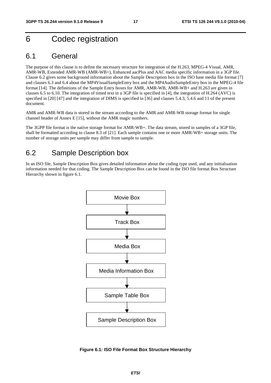## 6 Codec registration

### 6.1 General

The purpose of this clause is to define the necessary structure for integration of the H.263, MPEG-4 Visual, AMR, AMR-WB, Extended AMR-WB (AMR-WB+), Enhanced aacPlus and AAC media specific information in a 3GP file. Clause 6.2 gives some background information about the Sample Description box in the ISO base media file format [7] and clauses 6.3 and 6.4 about the MP4VisualSampleEntry box and the MP4AudioSampleEntry box in the MPEG-4 file format [14]. The definitions of the Sample Entry boxes for AMR, AMR-WB, AMR-WB+ and H.263 are given in clauses 6.5 to 6.10. The integration of timed text in a 3GP file is specified in [4], the integration of H.264 (AVC) is specified in [20] [47] and the integration of DIMS is specified in [36] and clauses 5.4.3, 5.4.6 and 11 of the present document.

AMR and AMR-WB data is stored in the stream according to the AMR and AMR-WB storage format for single channel header of Annex E [15], without the AMR magic numbers.

The 3GPP file format is the native storage format for AMR-WB+. The data stream, stored in samples of a 3GP file, shall be formatted according to clause 8.3 of [21]. Each sample contains one or more AMR-WB+ storage units. The number of storage units per sample may differ from sample to sample.

### 6.2 Sample Description box

In an ISO file, Sample Description Box gives detailed information about the coding type used, and any initialisation information needed for that coding. The Sample Description Box can be found in the ISO file format Box Structure Hierarchy shown in figure 6.1.



**Figure 6.1: ISO File Format Box Structure Hierarchy**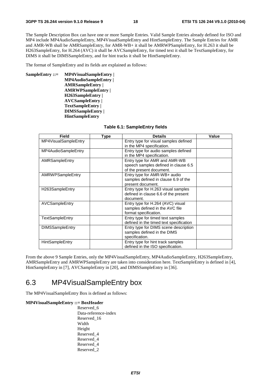The Sample Description Box can have one or more Sample Entries. Valid Sample Entries already defined for ISO and MP4 include MP4AudioSampleEntry, MP4VisualSampleEntry and HintSampleEntry. The Sample Entries for AMR and AMR-WB shall be AMRSampleEntry, for AMR-WB+ it shall be AMRWPSampleEntry, for H.263 it shall be H263SampleEntry, for H.264 (AVC) it shall be AVCSampleEntry, for timed text it shall be TextSampleEntry, for DIMS it shall be DIMSSampleEntry, and for hint tracks it shall be HintSampleEntry.

The format of SampleEntry and its fields are explained as follows:

**SampleEntry ::= MP4VisualSampleEntry | MP4AudioSampleEntry | AMRSampleEntry | AMRWPSampleEntry | H263SampleEntry | AVCSampleEntry | TextSampleEntry | DIMSSampleEntry | HintSampleEntry** 

| <b>Field</b>           | <b>Type</b> | <b>Details</b>                          | Value |
|------------------------|-------------|-----------------------------------------|-------|
| MP4VisualSampleEntry   |             | Entry type for visual samples defined   |       |
|                        |             | in the MP4 specification.               |       |
| MP4AudioSampleEntry    |             | Entry type for audio samples defined    |       |
|                        |             | in the MP4 specification.               |       |
| AMRSampleEntry         |             | Entry type for AMR and AMR-WB           |       |
|                        |             | speech samples defined in clause 6.5    |       |
|                        |             | of the present document.                |       |
| AMRWPSampleEntry       |             | Entry type for AMR-WB+ audio            |       |
|                        |             | samples defined in clause 6.9 of the    |       |
|                        |             | present document.                       |       |
| H263SampleEntry        |             | Entry type for H.263 visual samples     |       |
|                        |             | defined in clause 6.6 of the present    |       |
|                        |             | document.                               |       |
| AVCSampleEntry         |             | Entry type for H.264 (AVC) visual       |       |
|                        |             | samples defined in the AVC file         |       |
|                        |             | format specification.                   |       |
| TextSampleEntry        |             | Entry type for timed text samples       |       |
|                        |             | defined in the timed text specification |       |
| <b>DIMSSampleEntry</b> |             | Entry type for DIMS scene description   |       |
|                        |             | samples defined in the DIMS             |       |
|                        |             | specification.                          |       |
| <b>HintSampleEntry</b> |             | Entry type for hint track samples       |       |
|                        |             | defined in the ISO specification.       |       |

#### **Table 6.1: SampleEntry fields**

From the above 9 Sample Entries, only the MP4VisualSampleEntry, MP4AudioSampleEntry, H263SampleEntry, AMRSampleEntry and AMRWPSampleEntry are taken into consideration here. TextSampleEntry is defined in [4], HintSampleEntry in [7], AVCSampleEntry in [20], and DIMSSampleEntry in [36].

## 6.3 MP4VisualSampleEntry box

The MP4VisualSampleEntry Box is defined as follows:

#### **MP4VisualSampleEntry ::= BoxHeader**

 Reserved\_6 Data-reference-index Reserved\_16 Width Height Reserved\_4 Reserved\_4 Reserved\_4 Reserved\_2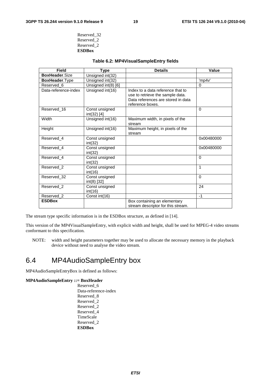| Reserved 32   |
|---------------|
| Reserved 2    |
| Reserved 2    |
| <b>ESDBox</b> |

#### **Table 6.2: MP4VisualSampleEntry fields**

| <b>Field</b>          | Type                          | <b>Details</b>                     | Value      |
|-----------------------|-------------------------------|------------------------------------|------------|
| BoxHeader.Size        | Unsigned int(32)              |                                    |            |
| BoxHeader.Type        | Unsigned int(32)              |                                    | 'mp4v'     |
| Reserved 6            | Unsigned int(8) [6]           |                                    | $\Omega$   |
| Data-reference-index  | Unsigned int(16)              | Index to a data reference that to  |            |
|                       |                               | use to retrieve the sample data.   |            |
|                       |                               | Data references are stored in data |            |
|                       |                               | reference boxes.                   |            |
| Reserved 16           | Const unsigned<br>int(32) [4] |                                    | $\Omega$   |
| Width                 | Unsigned int(16)              | Maximum width, in pixels of the    |            |
|                       |                               | stream                             |            |
| Height                | Unsigned int(16)              | Maximum height, in pixels of the   |            |
|                       |                               | stream                             |            |
| Reserved 4            | Const unsigned                |                                    | 0x00480000 |
|                       | int(32)                       |                                    |            |
| Reserved 4            | Const unsigned                |                                    | 0x00480000 |
|                       | int(32)                       |                                    |            |
| Reserved 4            | Const unsigned                |                                    | $\Omega$   |
|                       | int(32)                       |                                    |            |
| Reserved 2            | Const unsigned                |                                    | 1          |
| Reserved 32           | int(16)<br>Const unsigned     |                                    | $\Omega$   |
|                       | $int(8)$ [32]                 |                                    |            |
| Reserved <sub>2</sub> | Const unsigned                |                                    | 24         |
|                       | int(16)                       |                                    |            |
| Reserved 2            | Const int(16)                 |                                    | $-1$       |
| <b>ESDBox</b>         |                               | Box containing an elementary       |            |
|                       |                               | stream descriptor for this stream. |            |

The stream type specific information is in the ESDBox structure, as defined in [14].

This version of the MP4VisualSampleEntry, with explicit width and height, shall be used for MPEG-4 video streams conformant to this specification.

NOTE: width and height parameters together may be used to allocate the necessary memory in the playback device without need to analyse the video stream.

## 6.4 MP4AudioSampleEntry box

MP4AudioSampleEntryBox is defined as follows:

#### **MP4AudioSampleEntry ::= BoxHeader**

 Reserved\_6 Data-reference-index Reserved\_8 Reserved\_2 Reserved\_2 Reserved\_4 TimeScale Reserved\_2 **ESDBox**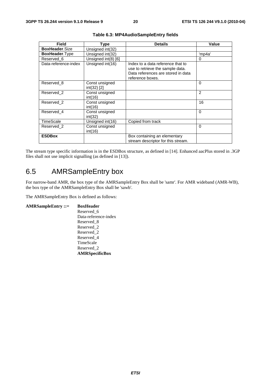| <b>Field</b>          | Type                          | <b>Details</b>                                                                                                                  | Value          |
|-----------------------|-------------------------------|---------------------------------------------------------------------------------------------------------------------------------|----------------|
| BoxHeader.Size        | Unsigned int(32)              |                                                                                                                                 |                |
| <b>BoxHeader.Type</b> | Unsigned int(32)              |                                                                                                                                 | 'mp4a'         |
| Reserved 6            | Unsigned int(8) [6]           |                                                                                                                                 | 0              |
| Data-reference-index  | Unsigned int(16)              | Index to a data reference that to<br>use to retrieve the sample data.<br>Data references are stored in data<br>reference boxes. |                |
| Reserved 8            | Const unsigned<br>int(32) [2] |                                                                                                                                 | $\Omega$       |
| Reserved 2            | Const unsigned<br>int(16)     |                                                                                                                                 | $\overline{2}$ |
| Reserved 2            | Const unsigned<br>int(16)     |                                                                                                                                 | 16             |
| Reserved 4            | Const unsigned<br>int(32)     |                                                                                                                                 | $\Omega$       |
| TimeScale             | Unsigned int(16)              | Copied from track                                                                                                               |                |
| Reserved 2            | Const unsigned<br>int(16)     |                                                                                                                                 | $\Omega$       |
| <b>ESDBox</b>         |                               | Box containing an elementary<br>stream descriptor for this stream.                                                              |                |

#### **Table 6.3: MP4AudioSampleEntry fields**

The stream type specific information is in the ESDBox structure, as defined in [14]. Enhanced aacPlus stored in .3GP files shall not use implicit signalling (as defined in [13]).

## 6.5 AMRSampleEntry box

For narrow-band AMR, the box type of the AMRSampleEntry Box shall be 'samr'. For AMR wideband (AMR-WB), the box type of the AMRSampleEntry Box shall be 'sawb'.

The AMRSampleEntry Box is defined as follows:

**AMRSampleEntry ::= BoxHeader** Reserved\_6 Data-reference-index Reserved\_8 Reserved\_2 Reserved\_2 Reserved\_4 TimeScale Reserved\_2 **AMRSpecificBox**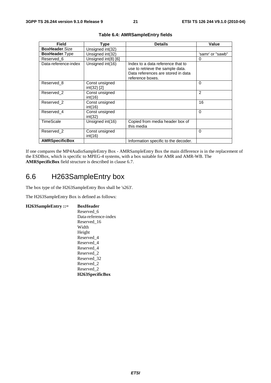| Field                 | Type                          | <b>Details</b>                                                                                                                  | Value            |
|-----------------------|-------------------------------|---------------------------------------------------------------------------------------------------------------------------------|------------------|
| <b>BoxHeader.Size</b> | Unsigned int(32)              |                                                                                                                                 |                  |
| <b>BoxHeader.Type</b> | Unsigned int(32)              |                                                                                                                                 | 'samr' or "sawb" |
| Reserved 6            | Unsigned int(8) [6]           |                                                                                                                                 | 0                |
| Data-reference-index  | Unsigned int(16)              | Index to a data reference that to<br>use to retrieve the sample data.<br>Data references are stored in data<br>reference boxes. |                  |
| Reserved 8            | Const unsigned<br>int(32) [2] |                                                                                                                                 | $\Omega$         |
| Reserved 2            | Const unsigned<br>int(16)     |                                                                                                                                 | $\overline{2}$   |
| Reserved 2            | Const unsigned<br>int(16)     |                                                                                                                                 | 16               |
| Reserved 4            | Const unsigned<br>int(32)     |                                                                                                                                 | $\Omega$         |
| TimeScale             | Unsigned int(16)              | Copied from media header box of<br>this media                                                                                   |                  |
| Reserved 2            | Const unsigned<br>int(16)     |                                                                                                                                 | $\Omega$         |
| <b>AMRSpecificBox</b> |                               | Information specific to the decoder.                                                                                            |                  |

| Table 6.4: AMRSampleEntry fields |  |  |
|----------------------------------|--|--|
|----------------------------------|--|--|

If one compares the MP4AudioSampleEntry Box - AMRSampleEntry Box the main difference is in the replacement of the ESDBox, which is specific to MPEG-4 systems, with a box suitable for AMR and AMR-WB. The **AMRSpecificBox** field structure is described in clause 6.7.

## 6.6 H263SampleEntry box

The box type of the H263SampleEntry Box shall be 's263'.

The H263SampleEntry Box is defined as follows:

**H263SampleEntry ::= BoxHeader**  Reserved\_6 Data-reference-index Reserved\_16 Width Height Reserved\_4 Reserved\_4 Reserved\_4 Reserved\_2 Reserved\_32 Reserved\_2 Reserved\_2 **H263SpecificBox**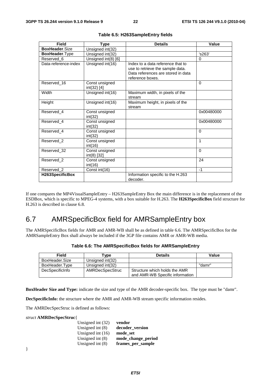| Field                 | <b>Type</b>                   | <b>Details</b>                                                                                                                  | Value      |
|-----------------------|-------------------------------|---------------------------------------------------------------------------------------------------------------------------------|------------|
| <b>BoxHeader Size</b> | Unsigned int(32)              |                                                                                                                                 |            |
| BoxHeader.Type        | Unsigned int(32)              |                                                                                                                                 | 's263'     |
| Reserved 6            | Unsigned int(8) [6]           |                                                                                                                                 | 0          |
| Data-reference-index  | Unsigned int(16)              | Index to a data reference that to<br>use to retrieve the sample data.<br>Data references are stored in data<br>reference boxes. |            |
| Reserved_16           | Const unsigned<br>int(32) [4] |                                                                                                                                 | $\Omega$   |
| Width                 | Unsigned int(16)              | Maximum width, in pixels of the<br>stream                                                                                       |            |
| Height                | Unsigned int(16)              | Maximum height, in pixels of the<br>stream                                                                                      |            |
| Reserved 4            | Const unsigned<br>int(32)     |                                                                                                                                 | 0x00480000 |
| Reserved 4            | Const unsigned<br>int(32)     |                                                                                                                                 | 0x00480000 |
| Reserved 4            | Const unsigned<br>int(32)     |                                                                                                                                 | 0          |
| Reserved 2            | Const unsigned<br>int(16)     |                                                                                                                                 | 1          |
| Reserved_32           | Const unsigned<br>int(8) [32] |                                                                                                                                 | $\Omega$   |
| Reserved 2            | Const unsigned<br>int(16)     |                                                                                                                                 | 24         |
| Reserved 2            | Const int(16)                 |                                                                                                                                 | $-1$       |
| H263SpecificBox       |                               | Information specific to the H.263<br>decoder.                                                                                   |            |

**Table 6.5: H263SampleEntry fields** 

If one compares the MP4VisualSampleEntry – H263SampleEntry Box the main difference is in the replacement of the ESDBox, which is specific to MPEG-4 systems, with a box suitable for H.263. The **H263SpecificBox** field structure for H.263 is described in clause 6.8.

## 6.7 AMRSpecificBox field for AMRSampleEntry box

The AMRSpecificBox fields for AMR and AMR-WB shall be as defined in table 6.6. The AMRSpecificBox for the AMRSampleEntry Box shall always be included if the 3GP file contains AMR or AMR-WB media.

| <b>Field</b>    | ⊺vpe             | <b>Details</b>                                                   | Value  |
|-----------------|------------------|------------------------------------------------------------------|--------|
| BoxHeader.Size  | Unsigned int(32) |                                                                  |        |
| BoxHeader.Type  | Unsigned int(32) |                                                                  | "damr" |
| DecSpecificInfo | AMRDecSpecStruc  | Structure which holds the AMR<br>and AMR-WB Specific information |        |

|  | Table 6.6: The AMRSpecificBox fields for AMRSampleEntry |  |
|--|---------------------------------------------------------|--|
|--|---------------------------------------------------------|--|

**BoxHeader Size and Type:** indicate the size and type of the AMR decoder-specific box. The type must be "damr".

**DecSpecificInfo:** the structure where the AMR and AMR-WB stream specific information resides.

The AMRDecSpecStruc is defined as follows:

#### *struct* **AMRDecSpecStruc**{

| Unsigned int $(32)$ | vendor             |
|---------------------|--------------------|
| Unsigned int $(8)$  | decoder version    |
| Unsigned int $(16)$ | mode set           |
| Unsigned int $(8)$  | mode_change_period |
| Unsigned int $(8)$  | frames_per_sample  |
|                     |                    |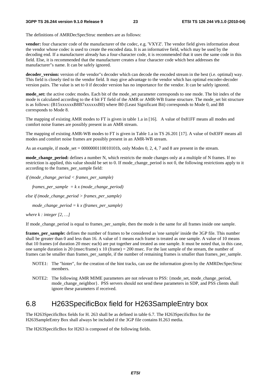The definitions of AMRDecSpecStruc members are as follows:

**vendor:** four character code of the manufacturer of the codec, e.g. 'VXYZ'. The vendor field gives information about the vendor whose codec is used to create the encoded data. It is an informative field, which may be used by the decoding end. If a manufacturer already has a four-character code, it is recommended that it uses the same code in this field. Else, it is recommended that the manufacturer creates a four character code which best addresses the manufacturer"s name. It can be safely ignored.

**decoder\_version:** version of the vendor"s decoder which can decode the encoded stream in the best (i.e. optimal) way. This field is closely tied to the vendor field. It may give advantage to the vendor which has optimal encoder-decoder version pairs. The value is set to 0 if decoder version has no importance for the vendor. It can be safely ignored.

**mode** set: the active codec modes. Each bit of the mode set parameter corresponds to one mode. The bit index of the mode is calculated according to the 4 bit FT field of the AMR or AMR-WB frame structure. The mode set bit structure is as follows: (B15xxxxxxB8B7xxxxxxB0) where B0 (Least Significant Bit) corresponds to Mode 0, and B8 corresponds to Mode 8.

The mapping of existing AMR modes to FT is given in table 1.a in [16]. A value of 0x81FF means all modes and comfort noise frames are possibly present in an AMR stream.

The mapping of existing AMR-WB modes to FT is given in Table 1.a in TS 26.201 [17]. A value of 0x83FF means all modes and comfort noise frames are possibly present in an AMR-WB stream.

As an example, if mode set =  $0000000110010101$ b, only Modes 0, 2, 4, 7 and 8 are present in the stream.

**mode\_change\_period:** defines a number N, which restricts the mode changes only at a multiple of N frames. If no restriction is applied, this value should be set to 0. If mode\_change\_period is not 0, the following restrictions apply to it according to the frames\_per\_sample field:

*if (mode\_change\_period < frames\_per\_sample)* 

*frames\_per\_sample = k x (mode\_change\_period)* 

*else if (mode\_change\_period > frames\_per\_sample)* 

*mode\_change\_period = k x (frames\_per\_sample)* 

*where k : integer [2, …]* 

If mode change period is equal to frames per sample, then the mode is the same for all frames inside one sample.

**frames per sample:** defines the number of frames to be considered as 'one sample' inside the 3GP file. This number shall be greater than 0 and less than 16. A value of 1 means each frame is treated as one sample. A value of 10 means that 10 frames (of duration 20 msec each) are put together and treated as one sample. It must be noted that, in this case, one sample duration is 20 (msec/frame) x 10 (frame) = 200 msec. For the last sample of the stream, the number of frames can be smaller than frames\_per\_sample, if the number of remaining frames is smaller than frames\_per\_sample.

- NOTE1: The "hinter", for the creation of the hint tracks, can use the information given by the AMRDecSpecStruc members.
- NOTE2: The following AMR MIME parameters are not relevant to PSS: {mode\_set, mode\_change\_period, mode change neighbor}. PSS servers should not send these parameters in SDP, and PSS clients shall ignore these parameters if received.

## 6.8 H263SpecificBox field for H263SampleEntry box

The H263SpecificBox fields for H. 263 shall be as defined in table 6.7. The H263SpecificBox for the H263SampleEntry Box shall always be included if the 3GP file contains H.263 media.

The H263SpecificBox for H263 is composed of the following fields.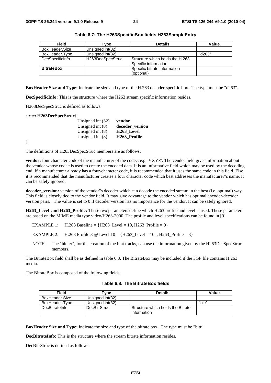| <b>Field</b>      | Гуре             | <b>Details</b>                  | Value  |
|-------------------|------------------|---------------------------------|--------|
| BoxHeader, Size   | Unsigned int(32) |                                 |        |
| BoxHeader.Type    | Unsigned int(32) |                                 | "d263" |
| DecSpecificInfo   | H263DecSpecStruc | Structure which holds the H.263 |        |
|                   |                  | Specific information            |        |
| <b>BitrateBox</b> |                  | Specific bitrate information    |        |
|                   |                  | (optional)                      |        |

**Table 6.7: The H263SpecificBox fields H263SampleEntry** 

**BoxHeader Size and Type:** indicate the size and type of the H.263 decoder-specific box. The type must be "d263".

**DecSpecificInfo:** This is the structure where the H263 stream specific information resides.

H263DecSpecStruc is defined as follows:

#### *struct* **H263DecSpecStruc**{

| Unsigned int $(32)$ | vendor                   |
|---------------------|--------------------------|
| Unsigned int $(8)$  | decoder_version          |
| Unsigned int $(8)$  | H <sub>263</sub> Level   |
| Unsigned int $(8)$  | H <sub>263</sub> Profile |

}

The definitions of H263DecSpecStruc members are as follows:

**vendor:** four character code of the manufacturer of the codec, e.g. 'VXYZ'. The vendor field gives information about the vendor whose codec is used to create the encoded data. It is an informative field which may be used by the decoding end. If a manufacturer already has a four-character code, it is recommended that it uses the same code in this field. Else, it is recommended that the manufacturer creates a four character code which best addresses the manufacturer"s name. It can be safely ignored.

**decoder\_version:** version of the vendor"s decoder which can decode the encoded stream in the best (i.e. optimal) way. This field is closely tied to the vendor field. It may give advantage to the vendor which has optimal encoder-decoder version pairs. . The value is set to 0 if decoder version has no importance for the vendor. It can be safely ignored.

**H263** Level and H263 Profile: These two parameters define which H263 profile and level is used. These parameters are based on the MIME media type video/H263-2000. The profile and level specifications can be found in [9].

EXAMPLE 1: H.263 Baseline =  ${H263 \text{Level} = 10, H263 \text{ Product} = 0}$ 

EXAMPLE 2: H.263 Profile 3 @ Level  $10 = {H263$  Level = 10, H263 Profile = 3 }

NOTE: The "hinter", for the creation of the hint tracks, can use the information given by the H263DecSpecStruc members.

The BitrateBox field shall be as defined in table 6.8. The BitrateBox may be included if the 3GP file contains H.263 media.

The BitrateBox is composed of the following fields.

| Field          | vpe'                | <b>Details</b>                                   | Value  |
|----------------|---------------------|--------------------------------------------------|--------|
| BoxHeader.Size | Unsianed int(32)    |                                                  |        |
| BoxHeader.Type | Unsigned int(32)    |                                                  | "bitr" |
| DecBitrateInfo | <b>DecBitrStruc</b> | Structure which holds the Bitrate<br>information |        |

**Table 6.8: The BitrateBox fields** 

**BoxHeader Size and Type:** indicate the size and type of the bitrate box. The type must be "bitr".

**DecBitrateInfo:** This is the structure where the stream bitrate information resides.

DecBitrStruc is defined as follows: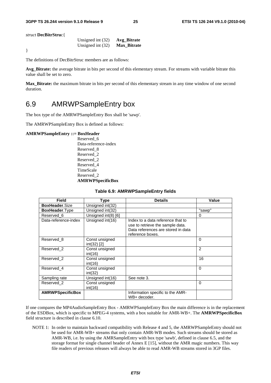*struct* **DecBitrStru**c{

|  | Unsigned int $(32)$ | Avg_Bitrate        |
|--|---------------------|--------------------|
|  | Unsigned int $(32)$ | <b>Max Bitrate</b> |

}

The definitions of DecBitrStruc members are as follows:

**Avg\_Bitrate:** the average bitrate in bits per second of this elementary stream. For streams with variable bitrate this value shall be set to zero.

**Max\_Bitrate:** the maximum bitrate in bits per second of this elementary stream in any time window of one second duration.

### 6.9 AMRWPSampleEntry box

The box type of the AMRWPSampleEntry Box shall be 'sawp'.

The AMRWPSampleEntry Box is defined as follows:

#### **AMRWPSampleEntry ::= BoxHeader**

 Reserved\_6 Data-reference-index Reserved\_8 Reserved\_2 Reserved\_2 Reserved\_4 TimeScale Reserved\_2 **AMRWPSpecificBox**

| <b>Field</b>            | Type                          | <b>Details</b>                                                                                                                  | Value          |
|-------------------------|-------------------------------|---------------------------------------------------------------------------------------------------------------------------------|----------------|
|                         |                               |                                                                                                                                 |                |
| <b>BoxHeader.Size</b>   | Unsigned int(32)              |                                                                                                                                 |                |
| <b>BoxHeader.Type</b>   | Unsigned int(32)              |                                                                                                                                 | "sawp"         |
| Reserved 6              | Unsigned int(8) [6]           |                                                                                                                                 | 0              |
| Data-reference-index    | Unsigned int(16)              | Index to a data reference that to<br>use to retrieve the sample data.<br>Data references are stored in data<br>reference boxes. |                |
| Reserved 8              | Const unsigned<br>int(32) [2] |                                                                                                                                 | $\Omega$       |
| Reserved 2              | Const unsigned<br>int(16)     |                                                                                                                                 | $\overline{2}$ |
| Reserved 2              | Const unsigned<br>int(16)     |                                                                                                                                 | 16             |
| Reserved 4              | Const unsigned<br>int(32)     |                                                                                                                                 | $\Omega$       |
| Sampling rate           | Unsigned int(16)              | See note 3.                                                                                                                     |                |
| Reserved_2              | Const unsigned<br>int(16)     |                                                                                                                                 | $\mathbf{0}$   |
| <b>AMRWPSpecificBox</b> |                               | Information specific to the AMR-<br>WB+ decoder.                                                                                |                |

#### **Table 6.9: AMRWPSampleEntry fields**

If one compares the MP4AudioSampleEntry Box - AMRWPSampleEntry Box the main difference is in the replacement of the ESDBox, which is specific to MPEG-4 systems, with a box suitable for AMR-WB+. The **AMRWPSpecificBox** field structure is described in clause 6.10.

NOTE 1: In order to maintain backward compatibility with Release 4 and 5, the AMRWPSampleEntry should not be used for AMR-WB+ streams that only contain AMR-WB modes. Such streams should be stored as AMR-WB, i.e. by using the AMRSampleEntry with box type 'sawb', defined in clause 6.5, and the storage format for single channel header of Annex E [15], without the AMR magic numbers. This way file readers of previous releases will always be able to read AMR-WB streams stored in 3GP files.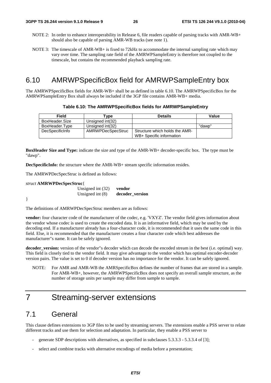- NOTE 2: In order to enhance interoperability in Release 6, file readers capable of parsing tracks with AMR-WB+ should also be capable of parsing AMR-WB tracks (see note 1).
- NOTE 3: The timescale of AMR-WB+ is fixed to 72kHz to accommodate the internal sampling rate which may vary over time. The sampling rate field of the AMRWPSampleEntry is therefore not coupled to the timescale, but contains the recommended playback sampling rate.

### 6.10 AMRWPSpecificBox field for AMRWPSampleEntry box

The AMRWPSpecificBox fields for AMR-WB+ shall be as defined in table 6.10. The AMRWPSpecificBox for the AMRWPSampleEntry Box shall always be included if the 3GP file contains AMR-WB+ media.

|  |  |  | Table 6.10: The AMRWPSpecificBox fields for AMRWPSampleEntry |
|--|--|--|--------------------------------------------------------------|
|--|--|--|--------------------------------------------------------------|

| Field           | Type              | <b>Details</b>                 | Value  |
|-----------------|-------------------|--------------------------------|--------|
| BoxHeader.Size  | Unsigned int(32)  |                                |        |
| BoxHeader.Type  | Unsigned int(32)  |                                | "dawp" |
| DecSpecificInfo | AMRWPDecSpecStruc | Structure which holds the AMR- |        |
|                 |                   | WB+ Specific information       |        |

**BoxHeader Size and Type:** indicate the size and type of the AMR-WB+ decoder-specific box. The type must be "dawp".

**DecSpecificInfo:** the structure where the AMR-WB+ stream specific information resides.

The AMRWPDecSpecStruc is defined as follows:

*struct* **AMRWPDecSpecStruc**{

 Unsigned int (32) **vendor** Unsigned int (8) **decoder** version

}

The definitions of AMRWPDecSpecStruc members are as follows:

**vendor:** four character code of the manufacturer of the codec, e.g. 'VXYZ'. The vendor field gives information about the vendor whose codec is used to create the encoded data. It is an informative field, which may be used by the decoding end. If a manufacturer already has a four-character code, it is recommended that it uses the same code in this field. Else, it is recommended that the manufacturer creates a four character code which best addresses the manufacturer"s name. It can be safely ignored.

**decoder\_version:** version of the vendor"s decoder which can decode the encoded stream in the best (i.e. optimal) way. This field is closely tied to the vendor field. It may give advantage to the vendor which has optimal encoder-decoder version pairs. The value is set to 0 if decoder version has no importance for the vendor. It can be safely ignored.

NOTE: For AMR and AMR-WB the AMRSpecificBox defines the number of frames that are stored in a sample. For AMR-WB+, however, the AMRWPSpecificBox does not specify an overall sample structure, as the number of storage units per sample may differ from sample to sample.

## 7 Streaming-server extensions

### 7.1 General

This clause defines extensions to 3GP files to be used by streaming servers. The extensions enable a PSS server to relate different tracks and use them for selection and adaptation. In particular, they enable a PSS server to

- generate SDP descriptions with alternatives, as specified in subclauses  $5.3.3.3 5.3.3.4$  of [3];
- select and combine tracks with alternative encodings of media before a presentation;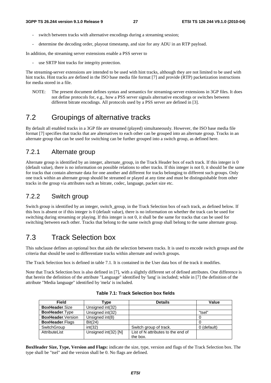- switch between tracks with alternative encodings during a streaming session;
- determine the decoding order, playout timestamp, and size for any ADU in an RTP payload.

In addition, the streaming server extensions enable a PSS server to

use SRTP hint tracks for integrity protection.

The streaming-server extensions are intended to be used with hint tracks, although they are not limited to be used with hint tracks. Hint tracks are defined in the ISO base media file format [7] and provide (RTP) packetization instructions for media stored in a file.

NOTE: The present document defines syntax and semantics for streaming-server extensions in 3GP files. It does not define protocols for, e.g., how a PSS server signals alternative encodings or switches between different bitrate encodings. All protocols used by a PSS server are defined in [3].

## 7.2 Groupings of alternative tracks

By default all enabled tracks in a 3GP file are streamed (played) simultaneously. However, the ISO base media file format [7] specifies that tracks that are alternatives to each other can be grouped into an alternate group. Tracks in an alternate group that can be used for switching can be further grouped into a switch group, as defined here.

### 7.2.1 Alternate group

Alternate group is identified by an integer, alternate group, in the Track Header box of each track. If this integer is 0 (default value), there is no information on possible relations to other tracks. If this integer is not 0, it should be the same for tracks that contain alternate data for one another and different for tracks belonging to different such groups. Only one track within an alternate group should be streamed or played at any time and must be distinguishable from other tracks in the group via attributes such as bitrate, codec, language, packet size etc.

### 7.2.2 Switch group

Switch group is identified by an integer, switch\_group, in the Track Selection box of each track, as defined below. If this box is absent or if this integer is 0 (default value), there is no information on whether the track can be used for switching during streaming or playing. If this integer is not 0, it shall be the same for tracks that can be used for switching between each other. Tracks that belong to the same switch group shall belong to the same alternate group.

## 7.3 Track Selection box

This subclause defines an optional box that aids the selection between tracks. It is used to encode switch groups and the criteria that should be used to differentiate tracks within alternate and switch groups.

The Track Selection box is defined in table 7.1. It is contained in the User data box of the track it modifies.

Note that Track Selection box is also defined in [7], with a slightly different set of defined attributes. One difference is that herein the definition of the attribute "Language" identified by 'lang' is included; while in [7] the definition of the attribute "Media language" identified by 'mela' is included.

| <b>Field</b>              | Type                 | <b>Details</b>                     | Value       |
|---------------------------|----------------------|------------------------------------|-------------|
| <b>BoxHeader.Size</b>     | Unsigned int(32)     |                                    |             |
| <b>BoxHeader.Type</b>     | Unsigned int(32)     |                                    | "tsel"      |
| <b>BoxHeader.</b> Version | Unsigned int(8)      |                                    | U           |
| <b>BoxHeader.Flags</b>    | Bit(24)              |                                    |             |
| SwitchGroup               | int(32)              | Switch group of track.             | 0 (default) |
| AttributeList             | Unsigned int(32) [N] | List of N attributes to the end of |             |
|                           |                      | the box.                           |             |

#### **Table 7.1: Track Selection box fields**

**BoxHeader Size, Type, Version and Flags:** indicate the size, type, version and flags of the Track Selection box. The type shall be "tsel" and the version shall be 0. No flags are defined.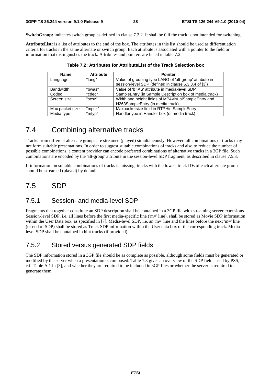**SwitchGroup:** indicates switch group as defined in clause 7.2.2. It shall be 0 if the track is not intended for switching.

**AttributeList:** is a list of attributes to the end of the box. The attributes in this list should be used as differentiation criteria for tracks in the same alternate or switch group. Each attribute is associated with a pointer to the field or information that distinguishes the track. Attributes and pointers are listed in table 7.2.

| <b>Name</b>      | <b>Attribute</b> | <b>Pointer</b>                                          |
|------------------|------------------|---------------------------------------------------------|
| Language         | "lang"           | Value of grouping type LANG of 'alt-group' attribute in |
|                  |                  | session-level SDP (defined in clause 5.3.3.4 of [3])    |
| <b>Bandwidth</b> | "bwas"           | Value of 'b=AS' attribute in media-level SDP            |
| Codec            | "cdec"           | SampleEntry (in Sample Description box of media track)  |
| Screen size      | "SCSZ"           | Width and height fields of MP4VisualSampleEntry and     |
|                  |                  | H263SampleEntry (in media track)                        |
| Max packet size  | "mpsz"           | Maxpacketsize field in RTPHintSampleEntry               |
| Media type       | "mtyp"           | Handlertype in Handler box (of media track)             |

| Table 7.2: Attributes for AttributeList of the Track Selection box |  |  |
|--------------------------------------------------------------------|--|--|
|--------------------------------------------------------------------|--|--|

## 7.4 Combining alternative tracks

Tracks from different alternate groups are streamed (played) simultaneously. However, all combinations of tracks may not form suitable presentations. In order to suggest suitable combinations of tracks and also to reduce the number of possible combinations, a content provider can encode preferred combinations of alternative tracks in a 3GP file. Such combinations are encoded by the 'alt-group' attribute in the session-level SDP fragment, as described in clause 7.5.3.

If information on suitable combinations of tracks is missing, tracks with the lowest track IDs of each alternate group should be streamed (played) by default.

## 7.5 SDP

#### 7.5.1 Session- and media-level SDP

Fragments that together constitute an SDP description shall be contained in a 3GP file with streaming-server extensions. Session-level SDP, i.e. all lines before the first media-specific line ('m=' line), shall be stored as Movie SDP information within the User Data box, as specified in [7]. Media-level SDP, i.e. an 'm=' line and the lines before the next 'm=' line (or end of SDP) shall be stored as Track SDP information within the User data box of the corresponding track. Medialevel SDP shall be contained in hint tracks (if provided).

### 7.5.2 Stored versus generated SDP fields

The SDP information stored in a 3GP file should be as complete as possible, although some fields must be generated or modified by the server when a presentation is composed. Table 7.3 gives an overview of the SDP fields used by PSS, c.f. Table A.1 in [3], and whether they are required to be included in 3GP files or whether the server is required to generate them.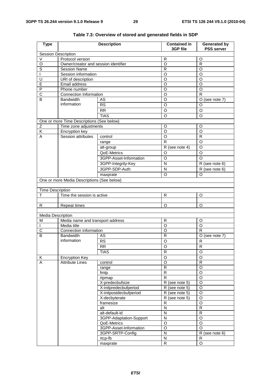| <b>Type</b>              |                                            | <b>Description</b>      | <b>Contained in</b><br>3GP file | <b>Generated by</b><br><b>PSS server</b> |  |  |
|--------------------------|--------------------------------------------|-------------------------|---------------------------------|------------------------------------------|--|--|
|                          | <b>Session Description</b>                 |                         |                                 |                                          |  |  |
| V                        | Protocol version                           |                         | R                               | O                                        |  |  |
| O                        | Owner/creator and session identifier       |                         | O                               | R                                        |  |  |
| S                        | <b>Session Name</b>                        |                         | R                               | O                                        |  |  |
| $\mathbf{I}$             | Session information                        |                         | O                               | O                                        |  |  |
| U                        | URI of description                         |                         | O                               | O                                        |  |  |
| E                        | Email address                              |                         | O                               | O                                        |  |  |
| P                        | Phone number                               |                         | O                               | O                                        |  |  |
| С                        | Connection Information                     |                         | O                               | $\mathsf{R}$                             |  |  |
| B                        | <b>Bandwidth</b>                           | AS                      | O                               | $O$ (see note 7)                         |  |  |
|                          | information                                | <b>RS</b>               | O                               | O                                        |  |  |
|                          |                                            | RR                      | O                               | O                                        |  |  |
|                          |                                            | <b>TIAS</b>             | O                               | O                                        |  |  |
|                          | One or more Time Descriptions (See below)  |                         |                                 |                                          |  |  |
| Ζ                        | Time zone adjustments                      |                         | O                               | O                                        |  |  |
| Κ                        | Encryption key                             |                         | $\circ$                         | O                                        |  |  |
| Α                        | Session attributes                         | control                 | O                               | R                                        |  |  |
|                          |                                            | range                   | R                               | O                                        |  |  |
|                          |                                            | alt-group               | R (see note 4)                  | O                                        |  |  |
|                          |                                            | QoE-Metrics             | O                               | O                                        |  |  |
|                          |                                            | 3GPP-Asset-Information  | O                               | O                                        |  |  |
|                          |                                            |                         | N                               |                                          |  |  |
|                          |                                            | 3GPP-Integrity-Key      |                                 | R (see note 6)                           |  |  |
|                          |                                            | 3GPP-SDP-Auth           | ${\sf N}$                       | R (see note 6)                           |  |  |
|                          |                                            | maxprate                | O                               | O                                        |  |  |
|                          | One or more Media Descriptions (See below) |                         |                                 |                                          |  |  |
|                          |                                            |                         |                                 |                                          |  |  |
| <b>Time Description</b>  |                                            |                         |                                 |                                          |  |  |
| т                        | Time the session is active                 |                         | R                               | O                                        |  |  |
|                          |                                            |                         |                                 |                                          |  |  |
| R                        | <b>Repeat times</b>                        |                         | O                               | O                                        |  |  |
|                          |                                            |                         |                                 |                                          |  |  |
| <b>Media Description</b> |                                            |                         |                                 |                                          |  |  |
| M                        | Media name and transport address           |                         | R<br>$\overline{O}$             | O<br>$\overline{O}$                      |  |  |
|                          | Media title                                |                         | O                               | R                                        |  |  |
| С                        | Connection information<br><b>Bandwidth</b> |                         |                                 |                                          |  |  |
| В                        | information                                | AS                      | R                               | $O$ (see note $7$ )                      |  |  |
|                          |                                            | <b>RS</b>               | O                               | R                                        |  |  |
|                          |                                            | <b>RR</b>               | O                               | $\mathsf R$                              |  |  |
|                          |                                            | <b>TIAS</b>             | R                               | O                                        |  |  |
| $\overline{\mathsf{K}}$  | <b>Encryption Key</b>                      |                         | $\circ$                         | $\circ$                                  |  |  |
| A                        | <b>Attribute Lines</b>                     | control                 | $\circ$                         | $\overline{R}$                           |  |  |
|                          |                                            | range                   | R                               | $\circ$                                  |  |  |
|                          |                                            | fmtp                    | R                               | O                                        |  |  |
|                          |                                            | rtpmap                  | R                               | O                                        |  |  |
|                          |                                            | X-predecbufsize         | R (see note 5)                  | $\mathsf O$                              |  |  |
|                          |                                            | X-initpredecbufperiod   | R (see note 5)                  | O                                        |  |  |
|                          |                                            | X-initpostdecbufperiod  | R (see note 5)                  | $\circ$                                  |  |  |
|                          |                                            | X-decbyterate           | R (see note 5)                  | $\mathsf O$                              |  |  |
|                          |                                            | framesize               | $\overline{R}$                  | $\overline{O}$                           |  |  |
|                          |                                            | alt                     | N                               | R                                        |  |  |
|                          |                                            | alt-default-id          | Ν                               | ${\sf R}$                                |  |  |
|                          |                                            | 3GPP-Adaptation-Support | N                               | $\circ$                                  |  |  |
|                          |                                            | QoE-Metrics             | O                               | $\overline{O}$                           |  |  |
|                          |                                            | 3GPP-Asset-Information  | O                               | $\circ$                                  |  |  |
|                          |                                            | 3GPP-SRTP-Config        | ${\sf N}$                       | R (see note 6)                           |  |  |
|                          |                                            | rtcp-fb                 | $\mathsf{N}$                    | ${\sf R}$                                |  |  |
|                          |                                            | maxprate                | R                               | O                                        |  |  |

**Table 7.3: Overview of stored and generated fields in SDP**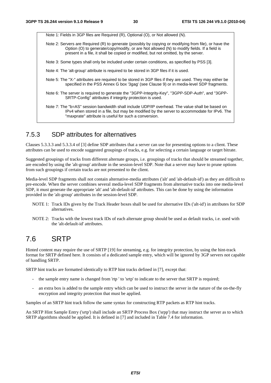Note 1: Fields in 3GP files are Required (R), Optional (O), or Not allowed (N). Note 2: Servers are Required (R) to generate (possibly by copying or modifying from file), or have the Option (O) to generate/copy/modify, or are Not allowed (N) to modify fields. If a field is

present in a file, it shall be copied or modified, but not omitted, by the server.

- Note 3: Some types shall only be included under certain conditions, as specified by PSS [3].
- Note 4: The 'alt-group' attribute is required to be stored in 3GP files if it is used.
- Note 5: The "X-" attributes are required to be stored in 3GP files if they are used. They may either be specified in the PSS Annex G box '3gag' (see Clause 9) or in media-level SDP fragments.
- Note 6: The server is required to generate the "3GPP-Integrity-Key", "3GPP-SDP-Auth", and "3GPP-SRTP-Config" attributes if integrity protection is used.
- Note 7: The "b=AS" session bandwidth shall include UDP/IP overhead. The value shall be based on IPv4 when stored in a file, but may be modified by the server to accommodate for IPv6. The "maxprate" attribute is useful for such a conversion.

### 7.5.3 SDP attributes for alternatives

Clauses 5.3.3.3 and 5.3.3.4 of [3] define SDP attributes that a server can use for presenting options to a client. These attributes can be used to encode suggested groupings of tracks, e.g. for selecting a certain language or target bitrate.

Suggested groupings of tracks from different alternate groups, i.e. groupings of tracks that should be streamed together, are encoded by using the 'alt-group' attribute in the session-level SDP. Note that a server may have to prune options from such groupings if certain tracks are not presented to the client.

Media-level SDP fragments shall not contain alternative-media attributes ('alt' and 'alt-default-id') as they are difficult to pre-encode. When the server combines several media-level SDP fragments from alternative tracks into one media-level SDP, it must generate the appropriate 'alt' and 'alt-default-id' attributes. This can be done by using the information provided in the 'alt-group' attributes in the session-level SDP.

- NOTE 1: Track IDs given by the Track Header boxes shall be used for alternative IDs ('alt-id') in attributes for SDP alternatives.
- NOTE 2: Tracks with the lowest track IDs of each alternate group should be used as default tracks, i.e. used with the 'alt-default-id' attributes.

## 7.6 SRTP

Hinted content may require the use of SRTP [19] for streaming, e.g. for integrity protection, by using the hint-track format for SRTP defined here. It consists of a dedicated sample entry, which will be ignored by 3GP servers not capable of handling SRTP.

SRTP hint tracks are formatted identically to RTP hint tracks defined in [7], except that:

- the sample entry name is changed from 'rtp ' to 'srtp' to indicate to the server that SRTP is required;
- an extra box is added to the sample entry which can be used to instruct the server in the nature of the on-the-fly encryption and integrity protection that must be applied.

Samples of an SRTP hint track follow the same syntax for constructing RTP packets as RTP hint tracks.

An SRTP Hint Sample Entry ('srtp') shall include an SRTP Process Box ('srpp') that may instruct the server as to which SRTP algorithms should be applied. It is defined in [7] and included in Table 7.4 for information.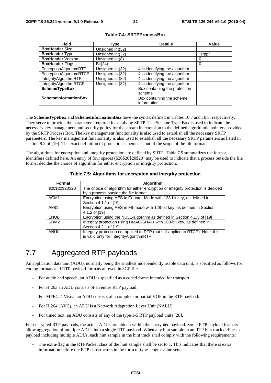| Field                       | Type             | <b>Details</b>                | Value  |
|-----------------------------|------------------|-------------------------------|--------|
| <b>BoxHeader.Size</b>       | Unsigned int(32) |                               |        |
| <b>BoxHeader. Type</b>      | Unsigned int(32) |                               | "srpp" |
| BoxHeader.Version           | Unsigned int(8)  |                               | 0      |
| <b>BoxHeader.Flags</b>      | Bit(24)          |                               | 0      |
| EncryptionAlgorithmRTP      | Unsigned int(32) | 4cc identifying the algorithm |        |
| EncryptionAlgorithmRTCP     | Unsigned int(32) | 4cc identifying the algorithm |        |
| IntegrityAlgorithmRTP       | Unsigned int(32) | 4cc identifying the algorithm |        |
| IntegrityAlgorithmRTCP      | Unsigned int(32) | 4cc identifying the algorithm |        |
| <b>SchemeTypeBox</b>        |                  | Box containing the protection |        |
|                             |                  | scheme.                       |        |
| <b>SchemeInformationBox</b> |                  | Box containing the scheme     |        |
|                             |                  | information.                  |        |

#### **Table 7.4: SRTPProcessBox**

The **SchemeTypeBox** and **SchemeInformationBox** have the syntax defined in Tables 10.7 and 10.8, respectively. They serve to provide the parameters required for applying SRTP. The Scheme Type Box is used to indicate the necessary key management and security policy for the stream in extension to the defined algorithmic pointers provided by the SRTP Process Box. The key management functionality is also used to establish all the necessary SRTP parameters. The key management functionality is also used to establish all the necessary SRTP parameters as listed in section 8.2 of [19]. The exact definition of protection schemes is out of the scope of the file format.

The algorithms for encryption and integrity protection are defined by SRTP. Table 7.5 summarizes the format identifiers defined here. An entry of four spaces (\$20\$20\$20\$20) may be used to indicate that a process outside the file format decides the choice of algorithm for either encryption or integrity protection.

| Format           | <b>Algorithm</b>                                                                 |
|------------------|----------------------------------------------------------------------------------|
| \$20\$20\$20\$20 | The choice of algorithm for either encryption or integrity protection is decided |
|                  | by a process outside the file format                                             |
| ACM <sub>1</sub> | Encryption using AES in Counter Mode with 128-bit key, as defined in             |
|                  | Section 4.1.1 of [19]                                                            |
| AF81             | Encryption using AES in F8-mode with 128-bit key, as defined in Section          |
|                  | 4.1.2 of [19]                                                                    |
| <b>ENUL</b>      | Encryption using the NULL-algorithm as defined in Section 4.1.3 of [19]          |
| SHM <sub>2</sub> | Integrity protection using HMAC-SHA-1 with 160-bit key, as defined in            |
|                  | Section 4.2.1 of [19]                                                            |
| <b>ANUL</b>      | Integrity protection not applied to RTP (but still applied to RTCP). Note: this  |
|                  | is valid only for IntegrityAlgorithmRTP.                                         |

**Table 7.5: Algorithms for encryption and integrity protection**

## 7.7 Aggregated RTP payloads

An application data unit (ADU), normally being the smallest independently usable data unit, is specified as follows for coding formats and RTP payload formats allowed in 3GP files:

- For audio and speech, an ADU is specified as a coded frame intended for transport.
- For H.263 an ADU consists of an entire RTP payload.
- For MPEG-4 Visual an ADU consists of a complete or partial VOP in the RTP payload.
- For H.264 (AVC), an ADU is a Network Adaptation Layer Unit (NALU).
- For timed text, an ADU consists of any of the type 1-5 RTP payload units [28].

For encrypted RTP payloads, the actual ADUs are hidden within the encrypted payload. Some RTP payload formats allow aggregation of multiple ADUs into a single RTP payload. When any hint sample in an RTP hint track defines a payload including multiple ADUs, each hint sample in the hint track shall comply with the following requirements:

The extra-flag in the RTPPacket class of the hint sample shall be set to 1. This indicates that there is extra information before the RTP constructors in the form of type-length-value sets.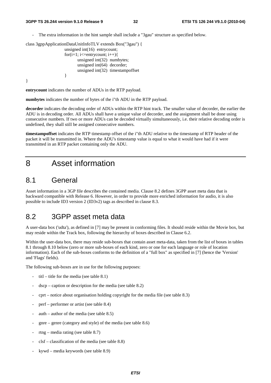The extra information in the hint sample shall include a "3gau" structure as specified below.

```
class 3gppApplicationDataUnitInfoTLV extends Box("3gau") { 
                    unsigned int(16) entrycount; 
                   for(i=1; i\le=entrycount; i++){
                           unsigned int(32) numbytes; 
                          unsigned int(64) decorder;
                           unsigned int(32) timestampoffset 
 } 
}
```
**entrycount** indicates the number of ADUs in the RTP payload.

**numbytes** indicates the number of bytes of the i"th ADU in the RTP payload.

**decorder** indicates the decoding order of ADUs within the RTP hint track. The smaller value of decorder, the earlier the ADU is in decoding order. All ADUs shall have a unique value of decorder, and the assignment shall be done using consecutive numbers. If two or more ADUs can be decoded virtually simultaneously, i.e. their relative decoding order is undefined, they shall still be assigned consecutive numbers.

**timestampoffset** indicates the RTP timestamp offset of the i"th ADU relative to the timestamp of RTP header of the packet it will be transmitted in. Where the ADU's timestamp value is equal to what it would have had if it were transmitted in an RTP packet containing only the ADU.

## 8 Asset information

### 8.1 General

Asset information in a 3GP file describes the contained media. Clause 8.2 defines 3GPP asset meta data that is backward compatible with Release 6. However, in order to provide more enriched information for audio, it is also possible to include ID3 version 2 (ID3v2) tags as described in clause 8.3.

### 8.2 3GPP asset meta data

A user-data box ('udta'), as defined in [7] may be present in conforming files. It should reside within the Movie box, but may reside within the Track box, following the hierarchy of boxes described in Clause 6.2.

Within the user-data box, there may reside sub-boxes that contain asset meta-data, taken from the list of boxes in tables 8.1 through 8.10 below (zero or more sub-boxes of each kind, zero or one for each language or role of location information). Each of the sub-boxes conforms to the definition of a "full box" as specified in [7] (hence the 'Version' and 'Flags' fields).

The following sub-boxes are in use for the following purposes:

- titl title for the media (see table  $8.1$ )
- $d$ scp caption or description for the media (see table 8.2)
- $\text{cpt}$  notice about organisation holding copyright for the media file (see table 8.3)
- perf performer or artist (see table 8.4)
- auth author of the media (see table  $8.5$ )
- $g$ nre genre (category and style) of the media (see table 8.6)
- $rtng media rating$  (see table 8.7)
- $clsf$  classification of the media (see table 8.8)
- kywd media keywords (see table 8.9)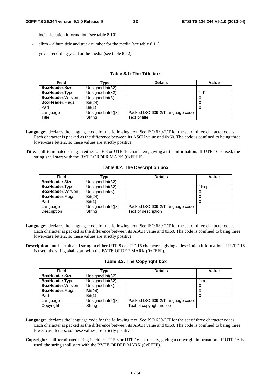- $loci location information$  (see table  $8.10$ )
- $album album$  title and track number for the media (see table 8.11)
- $\text{yrrc}$  recording year for the media (see table 8.12)

#### **Table 8.1: The Title box**

| <b>Field</b>              | Гvре               | <b>Details</b>                   | Value  |
|---------------------------|--------------------|----------------------------------|--------|
| <b>BoxHeader.Size</b>     | Unsigned int(32)   |                                  |        |
| <b>BoxHeader. Type</b>    | Unsigned int(32)   |                                  | 'titl' |
| <b>BoxHeader.</b> Version | Unsigned int(8)    |                                  |        |
| <b>BoxHeader.Flags</b>    | Bit(24)            |                                  |        |
| Pad                       | Bit(1)             |                                  |        |
| Language                  | Unsigned int(5)[3] | Packed ISO-639-2/T language code |        |
| Title                     | String             | Text of title                    |        |

- **Language**: declares the language code for the following text. See ISO 639-2/T for the set of three character codes. Each character is packed as the difference between its ASCII value and 0x60. The code is confined to being three lower-case letters, so these values are strictly positive.
- **Title**: null-terminated string in either UTF-8 or UTF-16 characters, giving a title information. If UTF-16 is used, the string shall start with the BYTE ORDER MARK (0xFEFF).

#### **Table 8.2: The Description box**

| <b>Field</b>              | Type               | <b>Details</b>                   | Value  |
|---------------------------|--------------------|----------------------------------|--------|
| <b>BoxHeader.Size</b>     | Unsigned int(32)   |                                  |        |
| <b>BoxHeader.Type</b>     | Unsigned int(32)   |                                  | 'dscp' |
| <b>BoxHeader.</b> Version | Unsigned int(8)    |                                  | 0      |
| <b>BoxHeader.Flags</b>    | Bit(24)            |                                  |        |
| Pad                       | Bit(1)             |                                  |        |
| Language                  | Unsigned int(5)[3] | Packed ISO-639-2/T language code |        |
| Description               | String             | Text of description              |        |

- **Language**: declares the language code for the following text. See ISO 639-2/T for the set of three character codes. Each character is packed as the difference between its ASCII value and 0x60. The code is confined to being three lower-case letters, so these values are strictly positive.
- **Description**: null-terminated string in either UTF-8 or UTF-16 characters, giving a description information. If UTF-16 is used, the string shall start with the BYTE ORDER MARK (0xFEFF).

| Field                     | ⊺ype                 | <b>Details</b>                   | <b>Value</b> |
|---------------------------|----------------------|----------------------------------|--------------|
| <b>BoxHeader.Size</b>     | Unsigned int(32)     |                                  |              |
| <b>BoxHeader. Type</b>    | Unsigned int(32)     |                                  | 'cprt'       |
| <b>BoxHeader.</b> Version | Unsigned int(8)      |                                  | 0            |
| <b>BoxHeader.Flags</b>    | Bit(24)              |                                  | O            |
| Pad                       | Bit(1)               |                                  |              |
| Language                  | Unsigned $int(5)[3]$ | Packed ISO-639-2/T language code |              |
| Copyright                 | String               | Text of copyright notice         |              |

#### **Table 8.3: The Copyright box**

- **Language**: declares the language code for the following text. See ISO 639-2/T for the set of three character codes. Each character is packed as the difference between its ASCII value and 0x60. The code is confined to being three lower-case letters, so these values are strictly positive.
- **Copyright**: null-terminated string in either UTF-8 or UTF-16 characters, giving a copyright information. If UTF-16 is used, the string shall start with the BYTE ORDER MARK (0xFEFF).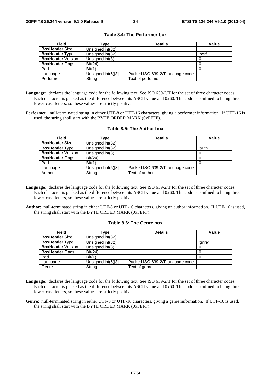| <b>Field</b>              | Type               | <b>Details</b>                   | Value  |
|---------------------------|--------------------|----------------------------------|--------|
| <b>BoxHeader.Size</b>     | Unsigned int(32)   |                                  |        |
| <b>BoxHeader.Type</b>     | Unsigned int(32)   |                                  | 'perf' |
| <b>BoxHeader.</b> Version | Unsigned int(8)    |                                  | υ      |
| <b>BoxHeader.Flags</b>    | Bit(24)            |                                  |        |
| Pad                       | Bit(1)             |                                  |        |
| Language                  | Unsigned int(5)[3] | Packed ISO-639-2/T language code |        |
| Performer                 | String             | Text of performer                |        |

**Table 8.4: The Performer box** 

- **Language**: declares the language code for the following text. See ISO 639-2/T for the set of three character codes. Each character is packed as the difference between its ASCII value and 0x60. The code is confined to being three lower-case letters, so these values are strictly positive.
- **Performer**: null-terminated string in either UTF-8 or UTF-16 characters, giving a performer information. If UTF-16 is used, the string shall start with the BYTE ORDER MARK (0xFEFF).

| <b>Field</b>              | Type               | <b>Details</b>                   | Value  |
|---------------------------|--------------------|----------------------------------|--------|
| <b>BoxHeader.Size</b>     | Unsigned int(32)   |                                  |        |
| <b>BoxHeader.Type</b>     | Unsigned int(32)   |                                  | 'auth' |
| <b>BoxHeader.</b> Version | Unsigned int(8)    |                                  |        |
| <b>BoxHeader.Flags</b>    | Bit(24)            |                                  | O      |
| Pad                       | Bit(1)             |                                  |        |
| Language                  | Unsigned int(5)[3] | Packed ISO-639-2/T language code |        |
| Author                    | String             | Text of author                   |        |

#### **Table 8.5: The Author box**

- **Language**: declares the language code for the following text. See ISO 639-2/T for the set of three character codes. Each character is packed as the difference between its ASCII value and 0x60. The code is confined to being three lower-case letters, so these values are strictly positive.
- **Author**: null-terminated string in either UTF-8 or UTF-16 characters, giving an author information. If UTF-16 is used, the string shall start with the BYTE ORDER MARK (0xFEFF).

#### **Table 8.6: The Genre box**

| <b>Field</b>              | Type               | <b>Details</b>                   | Value  |
|---------------------------|--------------------|----------------------------------|--------|
| <b>BoxHeader.Size</b>     | Unsigned int(32)   |                                  |        |
| <b>BoxHeader.Type</b>     | Unsigned int(32)   |                                  | 'anre' |
| <b>BoxHeader.</b> Version | Unsigned int(8)    |                                  | υ      |
| <b>BoxHeader.Flags</b>    | Bit(24)            |                                  |        |
| Pad                       | Bit(1)             |                                  |        |
| Language                  | Unsigned int(5)[3] | Packed ISO-639-2/T language code |        |
| Genre                     | String             | Text of genre                    |        |

- **Language**: declares the language code for the following text. See ISO 639-2/T for the set of three character codes. Each character is packed as the difference between its ASCII value and 0x60. The code is confined to being three lower-case letters, so these values are strictly positive.
- **Genre**: null-terminated string in either UTF-8 or UTF-16 characters, giving a genre information. If UTF-16 is used, the string shall start with the BYTE ORDER MARK (0xFEFF).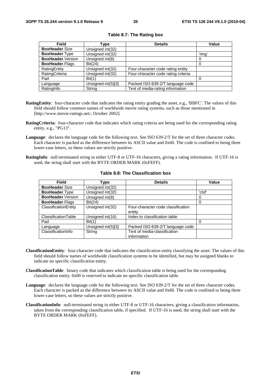| <b>Field</b>              | Type               | <b>Details</b>                      | Value  |
|---------------------------|--------------------|-------------------------------------|--------|
| <b>BoxHeader.Size</b>     | Unsigned int(32)   |                                     |        |
| <b>BoxHeader.Type</b>     | Unsigned int(32)   |                                     | 'rtng' |
| <b>BoxHeader.</b> Version | Unsigned int(8)    |                                     | 0      |
| <b>BoxHeader.Flags</b>    | Bit(24)            |                                     |        |
| RatingEntity              | Unsigned int(32)   | Four-character code rating entity   |        |
| RatingCriteria            | Unsigned int(32)   | Four-character code rating criteria |        |
| Pad                       | Bit(1)             |                                     |        |
| Language                  | Unsigned int(5)[3] | Packed ISO-639-2/T language code    |        |
| RatingInfo                | String             | Text of media-rating information    |        |

#### **Table 8.7: The Rating box**

- **RatingEntity**: four-character code that indicates the rating entity grading the asset, e.g., 'BBFC'. The values of this field should follow common names of worldwide movie rating systems, such as those mentioned in [http://www.movie-ratings.net/, October 2002].
- **RatingCriteria**: four-character code that indicates which rating criteria are being used for the corresponding rating entity, e.g., "PG13".
- **Language**: declares the language code for the following text. See ISO 639-2/T for the set of three character codes. Each character is packed as the difference between its ASCII value and 0x60. The code is confined to being three lower-case letters, so these values are strictly positive.
- **RatingInfo**: null-terminated string in either UTF-8 or UTF-16 characters, giving a rating information. If UTF-16 is used, the string shall start with the BYTE ORDER MARK (0xFEFF).

| <b>Field</b>           | Type               | <b>Details</b>                               | Value  |
|------------------------|--------------------|----------------------------------------------|--------|
| BoxHeader.Size         | Unsigned int(32)   |                                              |        |
| <b>BoxHeader.Type</b>  | Unsigned int(32)   |                                              | 'clsf' |
| BoxHeader.Version      | Unsigned int(8)    |                                              | 0      |
| <b>BoxHeader.Flags</b> | Bit(24)            |                                              |        |
| ClassificationEntity   | Unsigned int(32)   | Four-character code classification<br>entity |        |
| ClassificationTable    | Unsigned int(16)   | Index to classification table                |        |
| Pad                    | Bit(1)             |                                              |        |
| Language               | Unsigned int(5)[3] | Packed ISO-639-2/T language code             |        |
| ClassificationInfo     | String             | Text of media-classification<br>information  |        |

#### **Table 8.8: The Classification box**

- **ClassificationEntity**: four-character code that indicates the classification entity classifying the asset. The values of this field should follow names of worldwide classification systems to be identified, but may be assigned blanks to indicate no specific classification entity.
- **ClassificationTable**: binary code that indicates which classification table is being used for the corresponding classification entity. 0x00 is reserved to indicate no specific classification table.
- **Language**: declares the language code for the following text. See ISO 639-2/T for the set of three character codes. Each character is packed as the difference between its ASCII value and 0x60. The code is confined to being three lower-case letters, so these values are strictly positive.
- **ClassificationInfo**: null-terminated string in either UTF-8 or UTF-16 characters, giving a classification information, taken from the corresponding classification table, if specified. If UTF-16 is used, the string shall start with the BYTE ORDER MARK (0xFEFF).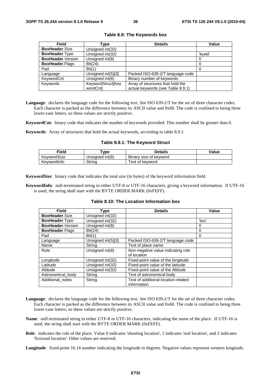| <b>Field</b>           | Type               | <b>Details</b>                    | <b>Value</b> |
|------------------------|--------------------|-----------------------------------|--------------|
| <b>BoxHeader.Size</b>  | Unsigned int(32)   |                                   |              |
| BoxHeader.Type         | Unsigned int(32)   |                                   | 'kywd'       |
| BoxHeader. Version     | Unsigned int(8)    |                                   |              |
| <b>BoxHeader.Flags</b> | Bit(24)            |                                   | O            |
| Pad                    | Bit(1)             |                                   | 0            |
| Language               | Unsigned int(5)[3] | Packed ISO-639-2/T language code  |              |
| KeywordCnt             | Unsigned int(8)    | Binary number of keywords         |              |
| Keywords               | KeywordStruct[Key  | Array of structures that hold the |              |
|                        | wordCnt]           | actual keywords (see Table 8.9.1) |              |

#### **Table 8.9: The Keywords box**

**Language**: declares the language code for the following text. See ISO 639-2/T for the set of three character codes. Each character is packed as the difference between its ASCII value and 0x60. The code is confined to being three lower-case letters, so these values are strictly positive.

**KeywordCnt**: binary code that indicates the number of keywords provided. This number shall be greater than 0.

**Keywords**: Array of structures that hold the actual keywords, according to table 8.9.1.

#### **Table 8.9.1: The Keyword Struct**

| Field       | vpe             | <b>Details</b>         | Value |
|-------------|-----------------|------------------------|-------|
| KevwordSize | Unsigned int(8) | Binary size of keyword |       |
| KevwordInfo | Strina          | Text of kevword        |       |

**KeywordSize**: binary code that indicates the total size (in bytes) of the keyword information field.

**KeywordInfo**: null-terminated string in either UTF-8 or UTF-16 characters, giving a keyword information. If UTF-16 is used, the string shall start with the BYTE ORDER MARK (0xFEFF).

#### **Table 8.10: The Location Information box**

| Field                  | Type               | <b>Details</b>                                     | Value  |
|------------------------|--------------------|----------------------------------------------------|--------|
| <b>BoxHeader.Size</b>  | Unsigned int(32)   |                                                    |        |
| <b>BoxHeader. Type</b> | Unsigned int(32)   |                                                    | 'loci' |
| BoxHeader.Version      | Unsigned int(8)    |                                                    | 0      |
| <b>BoxHeader.Flags</b> | Bit(24)            |                                                    | 0      |
| Pad                    | Bit(1)             |                                                    | 0      |
| Language               | Unsigned int(5)[3] | Packed ISO-639-2/T language code                   |        |
| Name                   | String             | Text of place name                                 |        |
| Role                   | Unsigned int(8)    | Non-negative value indicating role<br>of location  |        |
| Longitude              | Unsigned int(32)   | Fixed-point value of the longitude                 |        |
| Latitude               | Unsigned int(32)   | Fixed-point value of the latitude                  |        |
| Altitude               | Unsigned int(32)   | Fixed-point value of the Altitude                  |        |
| Astronomical_body      | String             | Text of astronomical body                          |        |
| Additional_notes       | String             | Text of additional location-related<br>information |        |

- **Language**: declares the language code for the following text. See ISO 639-2/T for the set of three character codes. Each character is packed as the difference between its ASCII value and 0x60. The code is confined to being three lower-case letters, so these values are strictly positive.
- **Name**: null-terminated string in either UTF-8 or UTF-16 characters, indicating the name of the place. If UTF-16 is used, the string shall start with the BYTE ORDER MARK (0xFEFF).
- **Role**: indicates the role of the place. Value 0 indicates 'shooting location', 1 indicates 'real location', and 2 indicates 'fictional location'. Other values are reserved.

**Longitude**: fixed-point 16.16 number indicating the longitude in degrees. Negative values represent western longitude.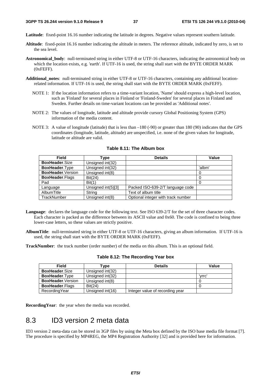**Latitude**: fixed-point 16.16 number indicating the latitude in degrees. Negative values represent southern latitude.

- **Altitude**: fixed-point 16.16 number indicating the altitude in meters. The reference altitude, indicated by zero, is set to the sea level.
- **Astronomical\_body**: null-terminated string in either UTF-8 or UTF-16 characters, indicating the astronomical body on which the location exists, e.g. 'earth'. If UTF-16 is used, the string shall start with the BYTE ORDER MARK (0xFEFF).
- **Additional\_notes**: null-terminated string in either UTF-8 or UTF-16 characters, containing any additional locationrelated information. If UTF-16 is used, the string shall start with the BYTE ORDER MARK (0xFEFF).
	- NOTE 1: If the location information refers to a time-variant location, 'Name' should express a high-level location, such as 'Finland' for several places in Finland or 'Finland-Sweden' for several places in Finland and Sweden. Further details on time-variant locations can be provided as 'Additional notes'.
	- NOTE 2: The values of longitude, latitude and altitude provide cursory Global Positioning System (GPS) information of the media content.
	- NOTE 3: A value of longitude (latitude) that is less than  $-180$  (-90) or greater than 180 (90) indicates that the GPS coordinates (longitude, latitude, altitude) are unspecified, i.e. none of the given values for longitude, latitude or altitude are valid.

| Field                     | Type               | <b>Details</b>                     | Value  |
|---------------------------|--------------------|------------------------------------|--------|
| <b>BoxHeader.Size</b>     | Unsigned int(32)   |                                    |        |
| BoxHeader.Type            | Unsigned int(32)   |                                    | 'albm' |
| <b>BoxHeader.</b> Version | Unsigned int(8)    |                                    |        |
| <b>BoxHeader.Flags</b>    | Bit(24)            |                                    |        |
| Pad                       | Bit(1)             |                                    |        |
| Language                  | Unsigned int(5)[3] | Packed ISO-639-2/T language code   |        |
| AlbumTitle                | String             | Text of album title                |        |
| TrackNumber               | Unsigned int(8)    | Optional integer with track number |        |

**Table 8.11: The Album box** 

- **Language**: declares the language code for the following text. See ISO 639-2/T for the set of three character codes. Each character is packed as the difference between its ASCII value and 0x60. The code is confined to being three lower-case letters, so these values are strictly positive.
- **AlbumTitle**: null-terminated string in either UTF-8 or UTF-16 characters, giving an album information. If UTF-16 is used, the string shall start with the BYTE ORDER MARK (0xFEFF).

**TrackNumber**: the track number (order number) of the media on this album. This is an optional field.

| <b>Field</b>             | Type             | <b>Details</b>                  | Value  |
|--------------------------|------------------|---------------------------------|--------|
| <b>BoxHeader.Size</b>    | Unsigned int(32) |                                 |        |
| <b>BoxHeader.</b> Type   | Unsigned int(32) |                                 | 'vrrc' |
| <b>BoxHeader</b> Version | Unsigned int(8)  |                                 |        |
| <b>BoxHeader.Flags</b>   | Bit(24)          |                                 |        |
| RecordingYear            | Unsigned int(16) | Integer value of recording year |        |

**Table 8.12: The Recording Year box** 

**RecordingYear**: the year when the media was recorded.

## 8.3 ID3 version 2 meta data

ID3 version 2 meta-data can be stored in 3GP files by using the Meta box defined by the ISO base media file format [7]. The procedure is specified by MP4REG, the MP4 Registration Authority [32] and is provided here for information.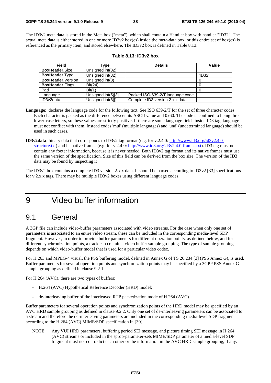The ID3v2 meta data is stored in the Meta box ("meta"), which shall contain a Handler box with handler "ID32". The actual meta data is either stored in one or more ID3v2 box(es) inside the meta-data box, or this entire set of box(es) is referenced as the primary item, and stored elsewhere. The ID3v2 box is defined in Table 8.13.

| Field                     | Type                 | <b>Details</b>                   | Value  |
|---------------------------|----------------------|----------------------------------|--------|
| <b>BoxHeader.Size</b>     | Unsigned int(32)     |                                  |        |
| <b>BoxHeader.Type</b>     | Unsigned int(32)     |                                  | 'ID32' |
| <b>BoxHeader.</b> Version | Unsigned int(8)      |                                  |        |
| <b>BoxHeader.Flags</b>    | Bit(24)              |                                  |        |
| Pad                       | Bit(1)               |                                  |        |
| Language                  | Unsigned int(5)[3]   | Packed ISO-639-2/T language code |        |
| ID3v2data                 | Unsigned $int(8)$ [] | Complete ID3 version 2.x.x data  |        |

| Table 8.13: ID3v2 box |  |
|-----------------------|--|
|-----------------------|--|

- **Language**: declares the language code for the following text. See ISO 639-2/T for the set of three character codes. Each character is packed as the difference between its ASCII value and 0x60. The code is confined to being three lower-case letters, so these values are strictly positive. If there are some language fields inside ID3 tag, language must not conflict with them. Instead codes 'mul' (multiple languages) and 'und' (undetermined language) should be used in such cases.
- **ID3v2data**: binary data that corresponds to ID3v2 tag format (e.g. for v.2.4.0: [http://www.id3.org/id3v2.4.0](http://www.id3.org/id3v2.4.0-structure.txt) [structure.txt\)](http://www.id3.org/id3v2.4.0-structure.txt) and its native frames (e.g. for v.2.4.0: [http://www.id3.org/id3v2.4.0-frames.txt\)](http://www.id3.org/id3v2.4.0-frames.txt). ID3 tag must not contain any footer information, because it is never needed. Both ID3v2 tag format and its native frames must use the same version of the specification. Size of this field can be derived from the box size. The version of the ID3 data may be found by inspecting it

The ID3v2 box contains a complete ID3 version 2.x.x data. It should be parsed according to ID3v2 [33] specifications for v.2.x.x tags. There may be multiple ID3v2 boxes using different language codes.

9 Video buffer information

### 9.1 General

A 3GP file can include video-buffer parameters associated with video streams. For the case when only one set of parameters is associated to an entire video stream, these can be included in the corresponding media-level SDP fragment. However, in order to provide buffer parameters for different operation points, as defined below, and for different synchronization points, a track can contain a video buffer sample grouping. The type of sample grouping depends on which video-buffer model that is used for a particular video codec.

For H.263 and MPEG-4 visual, the PSS buffering model, defined in Annex G of TS 26.234 [3] (PSS Annex G), is used. Buffer parameters for several operation points and synchronization points may be specified by a 3GPP PSS Annex G sample grouping as defined in clause 9.2.1.

For H.264 (AVC), there are two types of buffers:

- H.264 (AVC) Hypothetical Reference Decoder (HRD) model;
- de-interleaving buffer of the interleaved RTP packetization mode of H.264 (AVC).

Buffer parameters for several operation points and synchronization points of the HRD model may be specified by an AVC HRD sample grouping as defined in clause 9.2.2. Only one set of de-interleaving parameters can be associated to a stream and therefore the de-interleaving parameters are included in the corresponding media-level SDP fragment according to the H.264 (AVC) MIME/SDP specification in [30].

NOTE: Any VUI HRD parameters, buffering period SEI message, and picture timing SEI message in H.264 (AVC) streams or included in the sprop-parameter-sets MIME/SDP parameter of a media-level SDP fragment must not contradict each other or the information in the AVC HRD sample grouping, if any.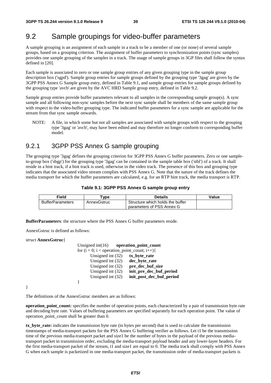## 9.2 Sample groupings for video-buffer parameters

A sample grouping is an assignment of each sample in a track to be a member of one (or none) of several sample groups, based on a grouping criterion. The assignment of buffer parameters to synchronization points (sync samples) provides one sample grouping of the samples in a track. The usage of sample groups in 3GP files shall follow the syntax defined in [20].

Each sample is associated to zero or one sample group entries of any given grouping type in the sample group description box ('sgpd'). Sample group entries for sample groups defined by the grouping type '3gag' are given by the 3GPP PSS Annex G Sample group entry, defined in Table 9.1, and sample group entries for sample groups defined by the grouping type 'avcb' are given by the AVC HRD Sample group entry, defined in Table 9.2.

Sample group entries provide buffer parameters relevant to all samples in the corresponding sample group(s). A sync sample and all following non-sync samples before the next sync sample shall be members of the same sample group with respect to the video-buffer grouping type. The indicated buffer parameters for a sync sample are applicable for the stream from that sync sample onwards.

NOTE: A file, in which some but not all samples are associated with sample groups with respect to the grouping type '3gag' or 'avcb', may have been edited and may therefore no longer conform to corresponding buffer model.

### 9.2.1 3GPP PSS Annex G sample grouping

The grouping type '3gag' defines the grouping criterion for 3GPP PSS Annex G buffer parameters. Zero or one sampleto-group box ('sbgp') for the grouping type '3gag' can be contained in the sample table box ('stbl') of a track. It shall reside in a hint track, if a hint track is used, otherwise in the video track. The presence of this box and grouping type indicates that the associated video stream complies with PSS Annex G. Note that the nature of the track defines the media transport for which the buffer parameters are calculated, e.g. for an RTP hint track, the media transport is RTP.

| Table 9.1: 3GPP PSS Annex G sample group entry |  |  |
|------------------------------------------------|--|--|
|------------------------------------------------|--|--|

| Field                   | vpe         | Details                          | Value |
|-------------------------|-------------|----------------------------------|-------|
| <b>BufferParameters</b> | AnnexGstruc | Structure which holds the buffer |       |
|                         |             | parameters of PSS Annex G        |       |

**BufferParameters**: the structure where the PSS Annex G buffer parameters reside.

AnnexGstruc is defined as follows:

*struct* **AnnexGstruc**{

| Unsigned $int(16)$ operation point count          |                          |
|---------------------------------------------------|--------------------------|
| for $(i = 0; i <$ operation_point_count; $i++)$ { |                          |
| Unsigned int $(32)$                               | tx_byte_rate             |
| Unsigned int $(32)$                               | dec_byte_rate            |
| Unsigned int $(32)$                               | pre dec buf size         |
| Unsigned int $(32)$                               | init_pre_dec_buf_period  |
| Unsigned int $(32)$                               | init_post_dec_buf_period |
|                                                   |                          |

}

The definitions of the AnnexGstruc members are as follows:

**operation\_point\_count:** specifies the number of operation points, each characterized by a pair of transmission byte rate and decoding byte rate. Values of buffering parameters are specified separately for each operation point. The value of operation\_point\_count shall be greater than 0.

**tx\_byte\_rate:** indicates the transmission byte rate (in bytes per second) that is used to calculate the transmission timestamps of media-transport packets for the PSS Annex G buffering verifier as follows. Let t1 be the transmission time of the previous media-transport packet and size1 be the number of bytes in the payload of the previous mediatransport packet in transmission order, excluding the media-transport payload header and any lower-layer headers. For the first media-transport packet of the stream, t1 and size1 are equal to 0. The media track shall comply with PSS Annex G when each sample is packetized in one media-transport packet, the transmission order of media-transport packets is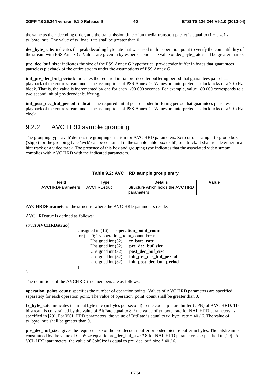the same as their decoding order, and the transmission time of an media-transport packet is equal to  $t_1 + \text{size}$  / tx\_byte\_rate. The value of tx\_byte\_rate shall be greater than 0.

**dec** byte rate: indicates the peak decoding byte rate that was used in this operation point to verify the compatibility of the stream with PSS Annex G. Values are given in bytes per second. The value of dec\_byte\_rate shall be greater than 0.

**pre\_dec\_buf\_size:** indicates the size of the PSS Annex G hypothetical pre-decoder buffer in bytes that guarantees pauseless playback of the entire stream under the assumptions of PSS Annex G.

**init** pre dec buf period: indicates the required initial pre-decoder buffering period that guarantees pauseless playback of the entire stream under the assumptions of PSS Annex G. Values are interpreted as clock ticks of a 90-kHz block. That is, the value is incremented by one for each 1/90 000 seconds. For example, value 180 000 corresponds to a two second initial pre-decoder buffering.

**init\_post\_dec\_buf\_period:** indicates the required initial post-decoder buffering period that guarantees pauseless playback of the entire stream under the assumptions of PSS Annex G. Values are interpreted as clock ticks of a 90-kHz clock.

### 9.2.2 AVC HRD sample grouping

The grouping type 'avcb' defines the grouping criterion for AVC HRD parameters. Zero or one sample-to-group box ('sbgp') for the grouping type 'avcb' can be contained in the sample table box ('stbl') of a track. It shall reside either in a hint track or a video track. The presence of this box and grouping type indicates that the associated video stream complies with AVC HRD with the indicated parameters.

#### **Table 9.2: AVC HRD sample group entry**

| Field                   | vpe                | Details                           | Value |
|-------------------------|--------------------|-----------------------------------|-------|
| <b>AVCHRDParameters</b> | <b>AVCHRDstruc</b> | Structure which holds the AVC HRD |       |
|                         |                    | parameters                        |       |

**AVCHRDParameters**: the structure where the AVC HRD parameters reside.

AVCHRDstruc is defined as follows:

#### *struct* **AVCHRDstruc**{

| Unsigned $int(16)$ operation point count          |                          |
|---------------------------------------------------|--------------------------|
| for $(i = 0; i <$ operation_point_count; $i++)$ { |                          |
| Unsigned int (32)                                 | tx_byte_rate             |
| Unsigned int (32)                                 | pre_dec_buf_size         |
| Unsigned int $(32)$                               | post_dec_buf_size        |
| Unsigned int $(32)$                               | init_pre_dec_buf_period  |
| Unsigned int $(32)$                               | init_post_dec_buf_period |
|                                                   |                          |

}

The definitions of the AVCHRDstruc members are as follows:

**operation\_point\_count**: specifies the number of operation points. Values of AVC HRD parameters are specified separately for each operation point. The value of operation\_point\_count shall be greater than 0.

**tx\_byte\_rate**: indicates the input byte rate (in bytes per second) to the coded picture buffer (CPB) of AVC HRD. The bitstream is constrained by the value of BitRate equal to 8 \* the value of tx\_byte\_rate for NAL HRD parameters as specified in [29]. For VCL HRD parameters, the value of BitRate is equal to tx\_byte\_rate \* 40 / 6. The value of tx byte rate shall be greater than 0.

**pre\_dec\_buf\_size**: gives the required size of the pre-decoder buffer or coded picture buffer in bytes. The bitstream is constrained by the value of CpbSize equal to pre\_dec\_buf\_size \* 8 for NAL HRD parameters as specified in [29]. For VCL HRD parameters, the value of CpbSize is equal to pre\_dec\_buf\_size  $*$  40 / 6.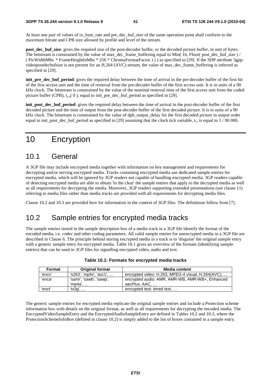At least one pair of values of tx byte rate and pre dec buf size of the same operation point shall conform to the maximum bitrate and CPB size allowed by profile and level of the stream.

**post** dec buf size: gives the required size of the post-decoder buffer, or the decoded picture buffer, in unit of bytes. The bitstream is constrained by the value of max dec\_frame\_buffering equal to Min( 16, Floor( post\_dec\_buf\_size ) / ( PicWidthMbs \* FrameHeightInMbs \* 256 \* ChromaFormatFactor ) ) ) as specified in [29]. If the SDP attribute 3gppvideopostdecbufsize is not present for an H.264 (AVC) stream, the value of max\_dec\_frame\_buffering is inferred as specified in [29].

**init\_pre\_dec\_buf\_period**: gives the required delay between the time of arrival in the pre-decoder buffer of the first bit of the first access unit and the time of removal from the pre-decoder buffer of the first access unit. It is in units of a 90 kHz clock. The bitstream is constrained by the value of the nominal removal time of the first access unit from the coded picture buffer (CPB),  $t_{r,n}(0)$ , equal to init\_pre\_dec\_buf\_period as specified in [29].

**init** post dec buf period: gives the required delay between the time of arrival in the post-decoder buffer of the first decoded picture and the time of output from the post-decoder buffer of the first decoded picture. It is in units of a 90 kHz clock. The bitstream is constrained by the value of dpb\_output\_delay for the first decoded picture in output order equal to init post dec buf period as specified in [29] assuming that the clock tick variable,  $t_c$ , is equal to 1 / 90 000.

## 10 Encryption

### 10.1 General

A 3GP file may include encrypted media together with information on key management and requirements for decrypting and/or serving encrypted media. Tracks containing encrypted media use dedicated sample entries for encrypted media, which will be ignored by 3GP readers not capable of handling encrypted media. 3GP readers capable of detecting encrypted media are able to obtain 'in the clear' the sample entries that apply to the decrypted media as well as all requirements for decrypting the media. Moreover, 3GP readers supporting extended presentations (see clause 11) referring to media files rather than media tracks are provided with all requirements for decrypting media files.

Clause 10.2 and 10.3 are provided here for information in the context of 3GP files. The definitions follow from [7].

## 10.2 Sample entries for encrypted media tracks

The sample entries stored in the sample description box of a media track in a 3GP file identify the format of the encoded media, i.e. codec and other coding parameters. All valid sample entries for unencrypted media in a 3GP file are described in Clause 6. The principle behind storing encrypted media in a track is to 'disguise' the original sample entry with a generic sample entry for encrypted media. Table 10.1 gives an overview of the formats (identifying sample entries) that can be used in 3GP files for signalling encrypted video, audio and text.

| Format | <b>Original format</b>  | Media content                                      |
|--------|-------------------------|----------------------------------------------------|
| 'encv' | 's263', 'mp4v', 'avc1', | encrypted video: H.263, MPEG-4 visual, H.264(AVC), |
| 'enca' | 'samr', 'sawb', 'sawp', | encrypted audio: AMR, AMR-WB, AMR-WB+, Enhanced    |
|        | 'mp4a'. …               | aacPlus. AAC.                                      |
| 'enct' | 'tx3g', …               | encrypted text: timed text,                        |

| Table 10.1: Formats for encrypted media tracks |  |
|------------------------------------------------|--|
|------------------------------------------------|--|

The generic sample entries for encrypted media replicate the original sample entries and include a Protection scheme information box with details on the original format, as well as all requirements for decrypting the encoded media. The EncryptedVideoSampleEntry and the EncryptedAudioSampleEntry are defined in Tables 10.2 and 10.3, where the ProtectionSchemeInfoBox (defined in clause 10.2) is simply added to the list of boxes contained in a sample entry.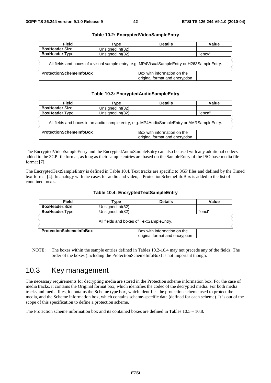| <b>Field</b>                                                                                 | ⊺vpe             | <b>Details</b>                                                | Value  |
|----------------------------------------------------------------------------------------------|------------------|---------------------------------------------------------------|--------|
| <b>BoxHeader.Size</b>                                                                        | Unsigned int(32) |                                                               |        |
| <b>BoxHeader.Type</b>                                                                        | Unsigned int(32) |                                                               | "encv" |
| All fields and boxes of a visual sample entry, e.g. MP4VisualSampleEntry or H263SampleEntry. |                  |                                                               |        |
| <b>ProtectionSchemeInfoBox</b>                                                               |                  | Box with information on the<br>original format and encryption |        |

#### **Table 10.2: EncryptedVideoSampleEntry**

#### **Table 10.3: EncryptedAudioSampleEntry**

| <b>Field</b>                                                                               | ⊺vpe             | <b>Details</b>                                                | Value  |
|--------------------------------------------------------------------------------------------|------------------|---------------------------------------------------------------|--------|
| <b>BoxHeader.Size</b>                                                                      | Unsigned int(32) |                                                               |        |
| <b>BoxHeader.Type</b>                                                                      | Unsigned int(32) |                                                               | "enca" |
| All fields and boxes in an audio sample entry, e.g. MP4AudioSampleEntry or AMRSampleEntry. |                  |                                                               |        |
| <b>ProtectionSchemeInfoBox</b>                                                             |                  | Box with information on the<br>original format and encryption |        |

The EncryptedVideoSampleEntry and the EncryptedAudioSampleEntry can also be used with any additional codecs added to the 3GP file format, as long as their sample entries are based on the SampleEntry of the ISO base media file format [7].

The EncryptedTextSampleEntry is defined in Table 10.4. Text tracks are specific to 3GP files and defined by the Timed text format [4]. In analogy with the cases for audio and video, a ProtectionSchemeInfoBox is added to the list of contained boxes.

| Field                          | Гvре             | <b>Details</b>                                                | Value  |
|--------------------------------|------------------|---------------------------------------------------------------|--------|
| <b>BoxHeader.Size</b>          | Unsigned int(32) |                                                               |        |
| <b>BoxHeader.Type</b>          | Unsigned int(32) |                                                               | "enct" |
|                                |                  | All fields and boxes of TextSampleEntry.                      |        |
| <b>ProtectionSchemeInfoBox</b> |                  | Box with information on the<br>original format and encryption |        |

#### **Table 10.4: EncryptedTextSampleEntry**

NOTE: The boxes within the sample entries defined in Tables 10.2-10.4 may not precede any of the fields. The order of the boxes (including the ProtectionSchemeInfoBox) is not important though.

## 10.3 Key management

The necessary requirements for decrypting media are stored in the Protection scheme information box. For the case of media tracks, it contains the Original format box, which identifies the codec of the decrypted media. For both media tracks and media files, it contains the Scheme type box, which identifies the protection scheme used to protect the media, and the Scheme information box, which contains scheme-specific data (defined for each scheme). It is out of the scope of this specification to define a protection scheme.

The Protection scheme information box and its contained boxes are defined in Tables  $10.5 - 10.8$ .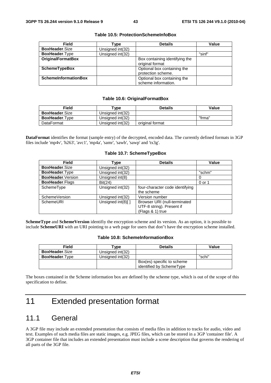| <b>Field</b>                | vpe`             | <b>Details</b>                                     | <b>Value</b> |
|-----------------------------|------------------|----------------------------------------------------|--------------|
| <b>BoxHeader.Size</b>       | Unsigned int(32) |                                                    |              |
| <b>BoxHeader.Type</b>       | Unsigned int(32) |                                                    | "sinf"       |
| <b>OriginalFormatBox</b>    |                  | Box containing identifying the<br>original format  |              |
| <b>SchemeTypeBox</b>        |                  | Optional box containing the<br>protection scheme.  |              |
| <b>SchemeInformationBox</b> |                  | Optional box containing the<br>scheme information. |              |

#### **Table 10.5: ProtectionSchemeInfoBox**

#### **Table 10.6: OriginalFormatBox**

| Field                 | vpe "            | <b>Details</b>  | Value  |
|-----------------------|------------------|-----------------|--------|
| <b>BoxHeader.Size</b> | Unsigned int(32) |                 |        |
| <b>BoxHeader.Type</b> | Unsigned int(32) |                 | "frma" |
| <b>DataFormat</b>     | Unsigned int(32) | original format |        |

**DataFormat** identifies the format (sample entry) of the decrypted, encoded data. The currently defined formats in 3GP files include 'mp4v', 'h263', 'avc1', 'mp4a', 'samr', 'sawb', 'sawp' and 'tx3g'.

#### **Table 10.7: SchemeTypeBox**

| <b>Field</b>           | Type              | <b>Details</b>                  | Value  |
|------------------------|-------------------|---------------------------------|--------|
| <b>BoxHeader.Size</b>  | Unsigned int(32)  |                                 |        |
| BoxHeader.Type         | Unsigned int(32)  |                                 | "schm" |
| BoxHeader.Version      | Unsigned int(8)   |                                 |        |
| <b>BoxHeader.Flags</b> | Bit(24)           |                                 | 0 or 1 |
| SchemeType             | Unsigned int(32)  | four-character code identifying |        |
|                        |                   | the scheme                      |        |
| SchemeVersion          | Unsigned int(32)  | Version number                  |        |
| SchemeURI              | Unsigned int(8)[] | Browser URI (null-terminated    |        |
|                        |                   | UTF-8 string). Present if       |        |
|                        |                   | (Flags & 1) true                |        |

**SchemeType** and **SchemeVersion** identifiy the encryption scheme and its version. As an option, it is possible to include **SchemeURI** with an URI pointing to a web page for users that don"t have the encryption scheme installed.

#### **Table 10.8: SchemeInformationBox**

| <b>Field</b>          | vpe'             | <b>Details</b>                                         | Value  |
|-----------------------|------------------|--------------------------------------------------------|--------|
| <b>BoxHeader.Size</b> | Unsigned int(32) |                                                        |        |
| <b>BoxHeader.Type</b> | Unsigned int(32) |                                                        | "schi" |
|                       |                  | Box(es) specific to scheme<br>identified by SchemeType |        |

The boxes contained in the Scheme information box are defined by the scheme type, which is out of the scope of this specification to define.

## 11 Extended presentation format

## 11.1 General

A 3GP file may include an extended presentation that consists of media files in addition to tracks for audio, video and text. Examples of such media files are static images, e.g. JPEG files, which can be stored in a 3GP 'container file'. A 3GP container file that includes an extended presentation must include a scene description that governs the rendering of all parts of the 3GP file.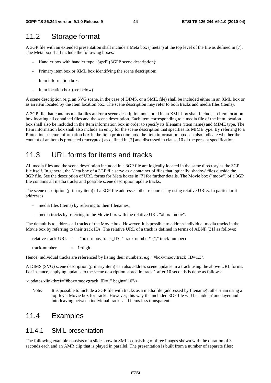### 11.2 Storage format

A 3GP file with an extended presentation shall include a Meta box ("meta") at the top level of the file as defined in [7]. The Meta box shall include the following boxes:

- Handler box with handler type "3gsd" (3GPP scene description);
- Primary item box or XML box identifying the scene description;
- Item information box:
- Item location box (see below).

A scene description (e.g. an SVG scene, in the case of DIMS, or a SMIL file) shall be included either in an XML box or as an item located by the Item location box. The scene description may refer to both tracks and media files (items).

A 3GP file that contains media files and/or a scene description not stored in an XML box shall include an Item location box locating all contained files and the scene description. Each item corresponding to a media file of the Item location box shall also be included in the Item information box in order to specify its filename (item name) and MIME type. The Item information box shall also include an entry for the scene description that specifies its MIME type. By referring to a Protection scheme information box in the Item protection box, the Item information box can also indicate whether the content of an item is protected (encrypted) as defined in [7] and discussed in clause 10 of the present specification.

### 11.3 URL forms for items and tracks

All media files and the scene description included in a 3GP file are logically located in the same directory as the 3GP file itself. In general, the Meta box of a 3GP file serve as a container of files that logically 'shadow' files outside the 3GP file. See the description of URL forms for Meta boxes in [7] for further details. The Movie box ("moov") of a 3GP file contains all media tracks and possible scene description update tracks.

The scene description (primary item) of a 3GP file addresses other resources by using relative URLs. In particular it addresses

- media files (items) by referring to their filenames;
- media tracks by referring to the Movie box with the relative URL "#box=moov".

The default is to address all tracks of the Movie box. However, it is possible to address individual media tracks in the Movie box by referring to their track IDs. The relative URL of a track is defined in terms of ABNF [31] as follows:

relative-track-URL = "#box=moov;track ID=" track-number\* ("," track-number)

track-number  $= 1*$ digit

Hence, individual tracks are referenced by listing their numbers, e.g. "#box=moov;track\_ID=1,3".

A DIMS (SVG) scene description (primary item) can also address scene updates in a track using the above URL forms. For instance, applying updates to the scene description stored in track 1 after 10 seconds is done as follows:

<updates xlink:href="#box=moov;track\_ID=1" begin="10"/>

Note: It is possible to include a 3GP file with tracks as a media file (addressed by filename) rather than using a top-level Movie box for tracks. However, this way the included 3GP file will be 'hidden' one layer and interleaving between individual tracks and items less transparent.

### 11.4 Examples

#### 11.4.1 SMIL presentation

The following example consists of a slide show in SMIL consisting of three images shown with the duration of 3 seconds each and an AMR clip that is played in parallel. The presentation is built from a number of separate files: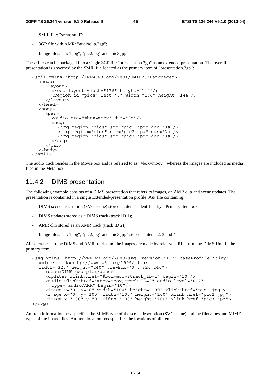- SMIL file: "scene.smil";
- 3GP file with AMR: "audioclip.3gp";
- Image files: "pic1.jpg", "pic2.jpg" and "pic3.jpg".

These files can be packaged into a single 3GP file "presentation.3gp" as an extended presentation. The overall presentation is governed by the SMIL file located as the primary item of "presentation.3gp":

```
<smil xmlns="http://www.w3.org/2001/SMIL20/Language"> 
   <head> 
     <layout> 
        <root-layout width="176" height="144"/> 
        <region id="pics" left="0" width="176" height="144"/> 
      </layout> 
   </head> 
   <body> 
      <par> 
        <audio src="#box=moov" dur="9s"/> 
        <seq> 
 <img region="pics" src="pic1.jpg" dur="3s"/> 
 <img region="pics" src="pic2.jpg" dur="3s"/> 
           <img region="pics" src="pic3.jpg" dur="3s"/> 
        </seq> 
      </par> 
   </body> 
</smil>
```
The audio track resides in the Movie box and is referred to as "#box=moov", whereas the images are included as media files in the Meta box.

#### 11.4.2 DIMS presentation

The following example consists of a DIMS presentation that refers to images, an AMR clip and scene updates. The presentation is contained in a single Extended-presentation profile 3GP file containing:

- DIMS scene description (SVG scene) stored as item 1 identified by a Primary item box;
- DIMS updates stored as a DIMS track (track ID 1);
- AMR clip stored as an AMR track (track ID 2);
- Image files: "pic1.jpg", "pic2.jpg" and "pic3.jpg" stored as items 2, 3 and 4.

All references to the DIMS and AMR tracks and the images are made by relative URLs from the DIMS Unit in the primary item:

```
<svg xmlns="http://www.w3.org/2000/svg" version="1.2" baseProfile="tiny" 
   xmlns:xlink=http://www.w3.org/1999/xlink 
   width="320" height="240" viewBox="0 0 320 240"> 
     <desc>DIMS example</desc> 
     <updates xlink:href="#box=moov;track_ID=1" begin="10"/> 
     <audio xlink:href="#box=moov;track_ID=2" audio-level="0.7" 
        type="audio/AMR" begin="10"/> 
 <image x="0" y="0" width="100" height="100" xlink:href="pic1.jpg"> 
 <image x="0" y="100" width="100" height="100" xlink:href="pic2.jpg"> 
     <image x="100" y="0" width="100" height="100" xlink:href="pic3.jpg"> 
</svg>
```
An Item information box specifies the MIME type of the scene description (SVG scene) and the filenames and MIME types of the image files. An Item location box specifies the locations of all items.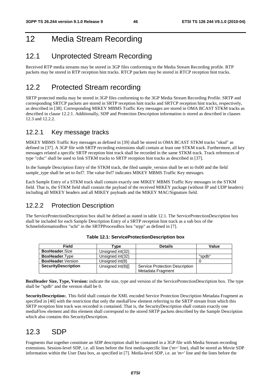## 12 Media Stream Recording

## 12.1 Unprotected Stream Recording

Received RTP media streams may be stored in 3GP files conforming to the Media Stream Recording profile. RTP packets may be stored in RTP reception hint tracks. RTCP packets may be stored in RTCP reception hint tracks.

## 12.2 Protected Stream recording

SRTP protected media may be stored in 3GP files conforming to the 3GP Media Stream Recording Profile. SRTP and corresponding SRTCP packets are stored in SRTP reception hint tracks and SRTCP reception hint tracks, respectively, as described in [38]. Corresponding MIKEY MBMS Traffic Key messages are stored in OMA BCAST STKM tracks as described in clause 12.2.1. Additionally, SDP and Protection Description information is stored as described in clauses 12.3 and 12.2.2.

### 12.2.1 Key message tracks

MIKEY MBMS Traffic Key messages as defined in [39] shall be stored in OMA BCAST STKM tracks "oksd" as defined in [37]. A 3GP file with SRTP recording extensions shall contain at least one STKM track. Furthermore, all key messages related a specific SRTP reception hint track shall be recorded in the same STKM track. Track references of type "cdsc" shall be used to link STKM tracks to SRTP reception hint tracks as described in [37].

In the Sample Description Entry of the STKM track, the filed sample version shall be set to 0x00 and the field sample\_type shall be set to 0xf7. The value 0xf7 indicates MIKEY MBMS Traffic Key messages.

Each Sample Entry of a STKM track shall contain exactly one MIKEY MBMS Traffic Key messages in the STKM field. That is, the STKM field shall contain the payload of the received MIKEY package (without IP and UDP headers) including all MIKEY headers and all MIKEY payloads and the MIKEY MAC/Signature field.

### 12.2.2 Protection Description

The ServiceProtectionDescription box shall be defined as stated in table 12.1. The ServiceProtectionDescription box shall be included for each Sample Description Entry of a SRTP reception hint track as a sub box of the SchmeInformationBox "schi" in the SRTPProcessBox box "srpp" as defined in [7].

| <b>Field</b>               | 'vpe                 | <b>Details</b>                                      | Value  |
|----------------------------|----------------------|-----------------------------------------------------|--------|
| <b>BoxHeader.Size</b>      | Unsigned int(32)     |                                                     |        |
| <b>BoxHeader.Type</b>      | Unsigned int(32)     |                                                     | "spdb" |
| <b>BoxHeader.</b> Version  | Unsigned int(8)      |                                                     |        |
| <b>SecurityDescription</b> | Unsigned $int(8)$ [] | Service Protection Description<br>Metadata Fragment |        |

|  | Table 12.1: ServiceProtectionDescription box |  |
|--|----------------------------------------------|--|
|--|----------------------------------------------|--|

**BoxHeader Size, Type, Version:** indicate the size, type and version of the ServiceProtectionDescription box. The type shall be "spdb" and the version shall be 0.

**SecurityDescription:**. This field shall contain the XML encoded Service Protection Description Metadata Fragment as specified in [40] with the restriction that only the mediaFlow element referring to the SRTP stream from which this SRTP reception hint track was recorded is contained. That is, the SecurityDescription shall contain exactly one mediaFlow element and this element shall correspond to the stored SRTP packets described by the Sample Description which also contains this SecurityDescription.

## 12.3 SDP

Fragments that together constitute an SDP description shall be contained in a 3GP file with Media Stream recording extensions. Session-level SDP, i.e. all lines before the first media-specific line ('m=' line), shall be stored as Movie SDP information within the User Data box, as specified in [7]. Media-level SDP, i.e. an 'm=' line and the lines before the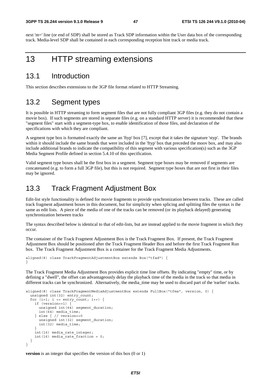next 'm=' line (or end of SDP) shall be stored as Track SDP information within the User data box of the corresponding track. Media-level SDP shall be contained in each corresponding reception hint track or media track.

## 13 HTTP streaming extensions

### 13.1 Introduction

This section describes extensions to the 3GP file format related to HTTP Streaming.

### 13.2 Segment types

It is possible in HTTP streaming to form segment files that are not fully compliant 3GP files (e.g. they do not contain a movie box). If such segments are stored in separate files (e.g. on a standard HTTP server) it is recommended that these "segment files" start with a segment-type box, to enable identification of those files, and declaration of the specifications with which they are compliant.

A segment type box is formatted exactly the same an 'ftyp' box [7], except that it takes the signature 'styp'. The brands within it should include the same brands that were included in the 'ftyp' box that preceded the moov box, and may also include additional brands to indicate the compatibility of this segment with various specification(s) such as the 3GP Media Segment Profile defined in section 5.4.10 of this specification.

Valid segment type boxes shall be the first box in a segment. Segment type boxes may be removed if segments are concatenated (e.g. to form a full 3GP file), but this is not required. Segment type boxes that are not first in their files may be ignored.

## 13.3 Track Fragment Adjustment Box

Edit-list style functionality is defined for movie fragments to provide synchronization between tracks. These are called track fragment adjustment boxes in this document, but for simplicity when splicing and splitting files the syntax is the same as edit lists. A piece of the media of one of the tracks can be removed (or its playback delayed) generating synchronization between tracks

The syntax described below is identical to that of edit-lists, but are instead applied to the movie fragment in which they occur.

The container of the Track Fragment Adjustment Box is the Track Fragment Box. If present, the Track Fragment Adjustment Box should be positioned after the Track Fragment Header Box and before the first Track Fragment Run box. The Track Fragment Adjustment Box is a container for the Track Fragment Media Adjustments.

```
aligned(8) class TrackFragmentAdjustmentBox extends Box("tfad") { 
}
```
The Track Fragment Media Adjustment Box provides explicit time line offsets. By indicating "empty" time, or by defining a "dwell", the offset can advantageously delay the playback time of the media in the track so that media in different tracks can be synchronized. Alternatively, the media\_time may be used to discard part of the 'earlier' tracks.

```
aligned(8) class TrackFragmentMediaAdjustmentBox extends FullBox("tfma", version, 0) { 
   unsigned int(32) entry_count; 
  for (i=1; i \leq = entry_count; i++) if (version==1) { 
      unsigned int(64) segment duration;
       int(64) media_time; 
     } else { // version==0 
       unsigned int(32) segment_duration; 
       int(32) media_time; 
 } 
     int(16) media_rate_integer; 
    int(16) media rate fraction = 0;
 } 
}
```
**version** is an integer that specifies the version of this box (0 or 1)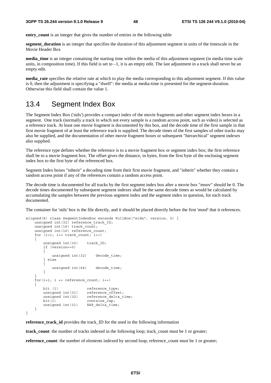**entry** count is an integer that gives the number of entries in the following table

**segment\_duration** is an integer that specifies the duration of this adjustment segment in units of the timescale in the Movie Header Box

**media time** is an integer containing the starting time within the media of this adjustment segment (in media time scale units, in composition time). If this field is set to  $-1$ , it is an empty edit. The last adjustment in a track shall never be an empty edit.

**media\_rate** specifies the relative rate at which to play the media corresponding to this adjustment segment. If this value is 0, then the adjustment is specifying a "dwell": the media at media-time is presented for the segment-duration. Otherwise this field shall contain the value 1.

### 13.4 Segment Index Box

The Segment Index Box ('sidx') provides a compact index of the movie fragments and other segment index boxes in a segment. One track (normally a track in which not every sample is a random access point, such as video) is selected as a reference track. At least one movie fragment is documented by this box, and the decode time of the first sample in that first movie fragment of at least the reference track is supplied. The decode times of the first samples of other tracks may also be supplied, and the documentation of other movie fragment boxes or subsequent "hierarchical" segment indexes also supplied.

The reference type defines whether the reference is to a movie fragment box or segment index box; the first reference shall be to a movie fragment box. The offset gives the distance, in bytes, from the first byte of the enclosing segment index box to the first byte of the referenced box.

Segment Index boxes "inherit" a decoding time from their first movie fragment, and "inherit" whether they contain a random access point if any of the references contain a random access point.

The decode time is documented for all tracks by the first segment index box after a movie box "moov" should be 0. The decode times documented by subsequent segment indexes shall be the same decode times as would be calculated by accumulating the samples between the previous segment index and the segment index in question, for each track documented.

The container for 'sidx' box is the file directly, and it should be placed directly before the first 'moof' that it references.

```
aligned(8) class SegmentIndexBox extends FullBox("sidx", version, 0) { 
    unsigned int(32) reference_track_ID; 
   unsigned int(16) track count;
   unsigned int(16) reference_count;
   for (i=1; i<= track count; i++) { 
       unsigned int(32) track ID;
        if (version==0) 
\{unsigned int(32) decode time;
         else
\{unsigned int(64) decode time;
        } 
 } 
   for(i=1; i \leq r eference_count; i++) { 
       bit (1) reference type;
       unsigned int(31) reference offset;
       unsigned int(32) reference_delta_time;
       bit(1) contains rap;
       unsigned int(31) RAP delta time;
    } 
}
```
**reference\_track\_id** provides the track\_ID for the used in the following information

**track** count: the number of tracks indexed in the following loop; track count must be 1 or greater; **reference** count: the number of elements indexed by second loop; reference count must be 1 or greater;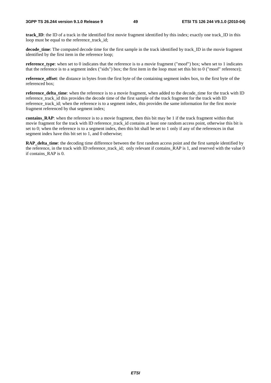**track** ID: the ID of a track in the identified first movie fragment identified by this index; exactly one track ID in this loop must be equal to the reference\_track\_id;

**decode\_time**: The computed decode time for the first sample in the track identified by track\_ID in the movie fragment identified by the first item in the reference loop;

**reference** type: when set to 0 indicates that the reference is to a movie fragment ("moof") box; when set to 1 indicates that the reference is to a segment index ("sidx") box; the first item in the loop must set this bit to 0 ("moof" reference);

**reference\_offset**: the distance in bytes from the first byte of the containing segment index box, to the first byte of the referenced box;

**reference** delta time: when the reference is to a movie fragment, when added to the decode time for the track with ID reference track id this provides the decode time of the first sample of the track fragment for the track with ID reference track id; when the reference is to a segment index, this provides the same information for the first movie fragment referenced by that segment index;

**contains\_RAP**: when the reference is to a movie fragment, then this bit may be 1 if the track fragment within that movie fragment for the track with ID reference\_track\_id contains at least one random access point, otherwise this bit is set to 0; when the reference is to a segment index, then this bit shall be set to 1 only if any of the references in that segment index have this bit set to 1, and 0 otherwise;

**RAP\_delta\_time**: the decoding time difference between the first random access point and the first sample identified by the reference, in the track with ID reference track id; only relevant if contains  $\overline{RAP}$  is 1, and reserved with the value 0 if contains\_RAP is 0.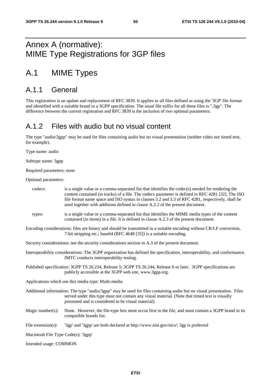## Annex A (normative): MIME Type Registrations for 3GP files

## A.1 MIME Types

## A.1.1 General

This registration is an update and replacement of RFC 3839. It applies to all files defined as using the '3GP' file format and identified with a suitable brand in a 3GPP specification. The usual file suffix for all these files is ".3gp". The difference between the current registration and RFC 3839 is the inclusion of two optional parameters.

## A.1.2 Files with audio but no visual content

The type "audio/3gpp" may be used for files containing audio but no visual presentation (neither video nor timed text, for example).

Type name: audio

Subtype name: 3gpp

Required parameters: none

#### Optional parameters:

| codecs:                             | is a single value or a comma-separated list that identifies the codec(s) needed for rendering the<br>content contained (in tracks) of a file. The codecs parameter is defined in RFC 4281 [32]. The ISO<br>file format name space and ISO syntax in clauses 3.2 and 3.3 of RFC 4281, respectively, shall be<br>used together with additions defined in clause A.2.2 of the present document. |
|-------------------------------------|----------------------------------------------------------------------------------------------------------------------------------------------------------------------------------------------------------------------------------------------------------------------------------------------------------------------------------------------------------------------------------------------|
| types:                              | is a single value or a comma-separated list that identifies the MIME media types of the content<br>contained (in items) in a file. It is defined in clause A.2.3 of the present document.                                                                                                                                                                                                    |
|                                     | Encoding considerations: files are binary and should be transmitted in a suitable encoding without CR/LF conversion,<br>7-bit stripping etc.; base64 (RFC 4648 [35]) is a suitable encoding.                                                                                                                                                                                                 |
|                                     | Security considerations: see the security considerations section in A.3 of the present document.                                                                                                                                                                                                                                                                                             |
|                                     | Interoperability considerations: The 3GPP organization has defined the specification, interoperability, and conformance.<br>IMTC conducts interoperability testing.                                                                                                                                                                                                                          |
|                                     | Published specification: 3GPP TS 26.234, Release 5; 3GPP TS 26.244, Release 6 or later. 3GPP specifications are<br>publicly accessible at the 3GPP web site, www.3gpp.org.                                                                                                                                                                                                                   |
|                                     | Applications which use this media type: Multi-media                                                                                                                                                                                                                                                                                                                                          |
|                                     | Additional information: The type "audio/3gpp" may be used for files containing audio but no visual presentation. Files<br>served under this type must not contain any visual material. (Note that timed text is visually<br>presented and is considered to be visual material).                                                                                                              |
| Magic number(s):                    | None. However, the file-type box must occur first in the file, and must contain a 3GPP brand in its<br>compatible brands list.                                                                                                                                                                                                                                                               |
| File extension(s):                  | '3gp' and '3gpp' are both declared at http://www.nist.gov/nics/; 3gp is preferred                                                                                                                                                                                                                                                                                                            |
| Macintosh File Type Code(s): '3gpp' |                                                                                                                                                                                                                                                                                                                                                                                              |
| Intended usage: COMMON              |                                                                                                                                                                                                                                                                                                                                                                                              |

*ETSI*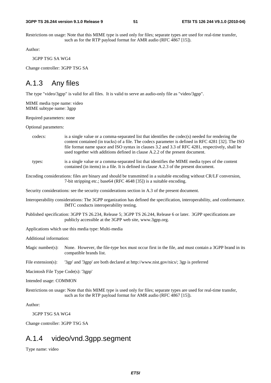Restrictions on usage: Note that this MIME type is used only for files; separate types are used for real-time transfer, such as for the RTP payload format for AMR audio (RFC 4867 [15]).

Author:

3GPP TSG SA WG4

Change controller: 3GPP TSG SA

### A.1.3 Any files

The type "video/3gpp" is valid for all files. It is valid to serve an audio-only file as "video/3gpp".

MIME media type name: video MIME subtype name: 3gpp

Required parameters: none

Optional parameters:

| codecs: | is a single value or a comma-separated list that identifies the codec(s) needed for rendering the  |
|---------|----------------------------------------------------------------------------------------------------|
|         | content contained (in tracks) of a file. The codecs parameter is defined in RFC 4281 [32]. The ISO |
|         | file format name space and ISO syntax in clauses 3.2 and 3.3 of RFC 4281, respectively, shall be   |
|         | used together with additions defined in clause A.2.2 of the present document.                      |
|         |                                                                                                    |

types: is a single value or a comma-separated list that identifies the MIME media types of the content contained (in items) in a file. It is defined in clause A.2.3 of the present document.

Encoding considerations: files are binary and should be transmitted in a suitable encoding without CR/LF conversion, 7-bit stripping etc.; base64 (RFC 4648 [35]) is a suitable encoding.

Security considerations: see the security considerations section in A.3 of the present document.

Interoperability considerations: The 3GPP organization has defined the specification, interoperability, and conformance. IMTC conducts interoperability testing.

Published specification: 3GPP TS 26.234, Release 5; 3GPP TS 26.244, Release 6 or later. 3GPP specifications are publicly accessible at the 3GPP web site, www.3gpp.org.

Applications which use this media type: Multi-media

Additional information:

Magic number(s): None. However, the file-type box must occur first in the file, and must contain a 3GPP brand in its compatible brands list.

File extension(s): '3gp' and '3gpp' are both declared at http://www.nist.gov/nics/; 3gp is preferred

Macintosh File Type Code(s): '3gpp'

Intended usage: COMMON

Restrictions on usage: Note that this MIME type is used only for files; separate types are used for real-time transfer, such as for the RTP payload format for AMR audio (RFC 4867 [15]).

Author:

3GPP TSG SA WG4

Change controller: 3GPP TSG SA

## A.1.4 video/vnd.3gpp.segment

Type name: video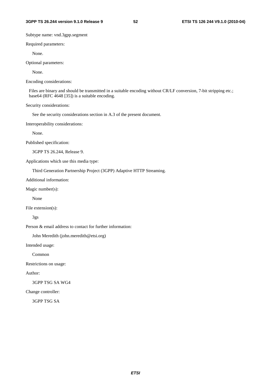Subtype name: vnd.3gpp.segment

Required parameters:

None.

Optional parameters:

None.

Encoding considerations:

Files are binary and should be transmitted in a suitable encoding without CR/LF conversion, 7-bit stripping etc.; base64 (RFC 4648 [35]) is a suitable encoding.

Security considerations:

See the security considerations section in A.3 of the present document.

Interoperability considerations:

None.

Published specification:

3GPP TS 26.244, Release 9.

Applications which use this media type:

Third Generation Partnership Project (3GPP) Adaptive HTTP Streaming.

Additional information:

Magic number(s):

None

File extension(s):

3gs

Person & email address to contact for further information:

John Meredith (john.meredith@etsi.org)

Intended usage:

Common

Restrictions on usage:

Author:

3GPP TSG SA WG4

Change controller:

3GPP TSG SA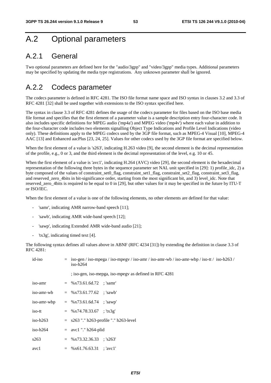## A.2 Optional parameters

## A.2.1 General

Two optional parameters are defined here for the "audio/3gpp" and "video/3gpp" media types. Additional parameters may be specified by updating the media type registrations. Any unknown parameter shall be ignored.

## A.2.2 Codecs parameter

The codecs parameter is defined in RFC 4281. The ISO file format name space and ISO syntax in clauses 3.2 and 3.3 of RFC 4281 [32] shall be used together with extensions to the ISO syntax specified here.

The syntax in clause 3.3 of RFC 4281 defines the usage of the codecs parameter for files based on the ISO base media file format and specifies that the first element of a parameter value is a sample description entry four-character code. It also includes specific definitions for MPEG audio ('mp4a') and MPEG video ('mp4v') where each value in addition to the four-character code includes two elements signalling Object Type Indications and Profile Level Indications (video only). These definitions apply to the MPEG codecs used by the 3GP file format, such as MPEG-4 Visual [10], MPEG-4 AAC [13] and Enhanced aacPlus [23, 24, 25]. Values for other codecs used by the 3GP file format are specified below.

When the first element of a value is 's263', indicating H.263 video [9], the second element is the decimal representation of the profile, e.g., 0 or 3, and the third element is the decimal representation of the level, e.g. 10 or 45.

When the first element of a value is 'avc1', indicating H.264 (AVC) video [29], the second element is the hexadecimal representation of the following three bytes in the sequence parameter set NAL unit specified in  $[29]$ : 1) profile idc, 2) a byte composed of the values of constraint set0 flag, constraint set1 flag, constraint set2 flag, constraint set3 flag, and reserved\_zero\_4bits in bit-significance order, starting from the most significant bit, and 3) level\_idc. Note that reserved zero 4bits is required to be equal to 0 in [29], but other values for it may be specified in the future by ITU-T or ISO/IEC.

When the first element of a value is one of the following elements, no other elements are defined for that value:

- 'samr', indicating AMR narrow-band speech [11];
- 'sawb', indicating AMR wide-band speech [12];
- 'sawp', indicating Extended AMR wide-band audio [21];
- 'tx3g', indicating timed text [4].

The following syntax defines all values above in ABNF (RFC 4234 [31]) by extending the definition in clause 3.3 of RFC 4281:

| id-iso     | $=$ iso-gen / iso-mpega / iso-mpegv / iso-amr / iso-amr-wb / iso-amr-wbp / iso-tt / iso-h263 /<br>$iso-h264$ |  |  |  |  |  |
|------------|--------------------------------------------------------------------------------------------------------------|--|--|--|--|--|
|            | ; iso-gen, iso-mepga, iso-mpegy as defined in RFC 4281                                                       |  |  |  |  |  |
| iso-amr    | $=$ %x73.61.6d.72 ; 'samr'                                                                                   |  |  |  |  |  |
|            | iso-amr-wb = $\%x73.61.77.62$ ; 'sawb'                                                                       |  |  |  |  |  |
|            | iso-amr-wbp = $\%x73.61.6d.74$ ; 'sawp'                                                                      |  |  |  |  |  |
| iso-tt     | $=$ %x74.78.33.67; 'tx3g'                                                                                    |  |  |  |  |  |
| $iso-h263$ | $=$ s263"." h263-profile"." h263-level                                                                       |  |  |  |  |  |
| iso-h264   | $=$ avc1 "." h264-plid                                                                                       |  |  |  |  |  |
| s263       | $=$ %x73.32.36.33; 's263'                                                                                    |  |  |  |  |  |
| avc1       | $=$ %x61.76.63.31; 'avc1'                                                                                    |  |  |  |  |  |
|            |                                                                                                              |  |  |  |  |  |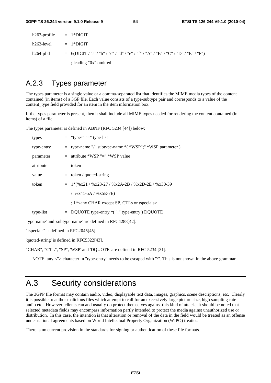| $h263$ -profile = $1*Diff$ |                                                                                     |
|----------------------------|-------------------------------------------------------------------------------------|
| $h263$ -level = $1*Diff$   |                                                                                     |
| h264-plid                  | $=$ 6(DIGIT / "a"/ "b" / "c" / "d" / "e" / "f" / "A" / "B" / "C" / "D" / "E" / "F") |
|                            | ; leading " $0x$ " omitted                                                          |

## A.2.3 Types parameter

The types parameter is a single value or a comma-separated list that identifies the MIME media types of the content contained (in items) of a 3GP file. Each value consists of a type-subtype pair and corresponds to a value of the content\_type field provided for an item in the item information box.

If the types parameter is present, then it shall include all MIME types needed for rendering the content contained (in items) of a file.

The types parameter is defined in ABNF (RFC 5234 [44]) below:

| types      | $=$ "types" "=" type-list                                   |
|------------|-------------------------------------------------------------|
| type-entry | $=$ type-name "/" subtype-name $*($ *WSP";" *WSP parameter) |
| parameter  | $=$ attribute *WSP "=" *WSP value                           |
| attribute  | $=$ token                                                   |
| value      | $=$ token / quoted-string                                   |
| token      | $= 1*(\%x21/\%x23-27/\%x2A-2B/\%x2D-2E/\%x30-39$            |
|            | / $\%x41-5A$ / $\%x5E-7E$ )                                 |
|            | $;1^*$ < any CHAR except SP, CTLs or tspecials >            |
| type-list  | $=$ DQUOTE type-entry $*($ "," type-entry ) DQUOTE          |
|            |                                                             |

'type-name' and 'subtype-name' are defined in RFC4288[42].

"tspecials" is defined in RFC2045[45]

'quoted-string' is defined in RFC5322[43].

"CHAR", "CTL", "SP", 'WSP' and 'DQUOTE' are defined in RFC 5234 [31].

NOTE: any <"> character in "type-entry" needs to be escaped with "\". This is not shown in the above grammar.

## A.3 Security considerations

The 3GPP file format may contain audio, video, displayable text data, images, graphics, scene descriptions, etc. Clearly it is possible to author malicious files which attempt to call for an excessively large picture size, high sampling-rate audio etc. However, clients can and usually do protect themselves against this kind of attack. It should be noted that selected metadata fields may encompass information partly intended to protect the media against unauthorized use or distribution. In this case, the intention is that alteration or removal of the data in the field would be treated as an offense under national agreements based on World Intellectual Property Organization (WIPO) treaties.

There is no current provision in the standards for signing or authentication of these file formats.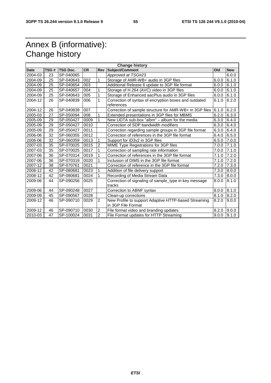## Annex B (informative): Change history

| <b>Change history</b> |      |                 |           |                |                                                         |       |            |
|-----------------------|------|-----------------|-----------|----------------|---------------------------------------------------------|-------|------------|
| <b>Date</b>           | TSG# | <b>TSG Doc.</b> | <b>CR</b> | Rev            | Subject/Comment                                         | Old   | <b>New</b> |
| 2004-03               | 23   | SP-040065       |           |                | Approved at TSG#23                                      |       | 6.0.0      |
| 2004-09               | 25   | SP-040643       | 002       | 1              | Storage of AMR-WB+ audio in 3GP files                   | 6.0.0 | 6.1.0      |
| 2004-09               | 25   | SP-040654       | 003       |                | Additional Release 6 update to 3GP file format          | 6.0.0 | 6.1.0      |
| 2004-09               | 25   | SP-040657       | 004       | 1              | Storage of H.264 (AVC) video in 3GP files               | 6.0.0 | 6.1.0      |
| 2004-09               | 25   | SP-040643       | 005       | 1              | Storage of Enhanced aacPlus audio in 3GP files          | 6.0.0 | 6.1.0      |
| 2004-12               | 26   | SP-040839       | 006       | $\mathbf{1}$   | Correction of syntax of encryption boxes and outdated   | 6.1.0 | 6.2.0      |
|                       |      |                 |           |                | references                                              |       |            |
| 2004-12               | 26   | SP-040839       | 007       |                | Correction of sample structure for AMR-WB+ in 3GP files | 6.1.0 | 6.2.0      |
| 2005-03               | 27   | SP-050094       | 008       | 1              | Extended presentations in 3GP files for MBMS            | 6.2.0 | 6.3.0      |
| 2005-09               | 29   | SP-050427       | 0009      | 1              | New UDTA sub-box "albm" – album for the media           | 6.3.0 | 6.4.0      |
| 2005-09               | 29   | SP-050427       | 0010      |                | Correction of SDP bandwidth modifiers                   | 6.3.0 | 6.4.0      |
| 2005-09               | 29   | SP-050427       | 0011      |                | Correction regarding sample groups in 3GP file format   | 6.3.0 | 6.4.0      |
| 2006-06               | 32   | SP-060355       | 0012      |                | Correction of references in the 3GP file format         | 6.4.0 | 6.5.0      |
| 2006-06               | 32   | SP-060359       | 0013      | 1              | Support for ID3v2 in 3GP files                          | 6.5.0 | 7.0.0      |
| 2007-03               | 35   | SP-070025       | 0015      | $\overline{2}$ | MIME Type Registrations for 3GP files                   | 7.0.0 | 7.1.0      |
| 2007-03               | 35   | SP-070025       | 0017      | 1              | Correction of sampling rate information                 | 7.0.0 | 7.1.0      |
| 2007-06               | 36   | SP-070314       | 0019      |                | Correction of references in the 3GP file format         | 7.1.0 | 7.2.0      |
| 2007-06               | 36   | SP-070319       | 0020      | 1              | Inclusion of DIMS in the 3GP file format                | 7.1.0 | 7.2.0      |
| 2007-12               | 38   | SP-070761       | 0021      |                | Correction of reference in the 3GP file format          | 7.2.0 | 7.3.0      |
| 2008-12               | 42   | SP-080681       | 0023      | 1              | Addition of file delivery support                       | 7.3.0 | 8.0.0      |
| 2008-12               | 42   | SP-080681       | 0024      |                | Recording of Media Stream Data                          | 7.3.0 | 8.0.0      |
| 2009-06               | 44   | SP-090256       | 0025      |                | Correction of signaling of sample_type in key message   | 8.0.0 | 8.1.0      |
|                       |      |                 |           |                | tracks                                                  |       |            |
| 2009-06               | 44   | SP-090248       | 0027      |                | Correction to ABNF syntax                               | 8.0.0 | 8.1.0      |
| 2009-09               | 45   | SP-090567       | 0028      |                | Clean-up corrections                                    | 8.1.0 | 8.2.0      |
| 2009-12               | 46   | SP-090710       | 0029      | $\overline{2}$ | New Profile to support Adaptive HTTP-based Streaming    | 8.2.0 | 9.0.0      |
|                       |      |                 |           |                | in 3GP File Format                                      |       |            |
| 2009-12               | 46   | SP-090710       | 0030      | $\overline{2}$ | File format video and branding updates                  | 8.2.0 | 9.0.0      |
| 2010-03               | 47   | SP-100024       | 0031      | $\overline{2}$ | File Format updates for HTTP Streaming                  | 9.0.0 | 9.1.0      |